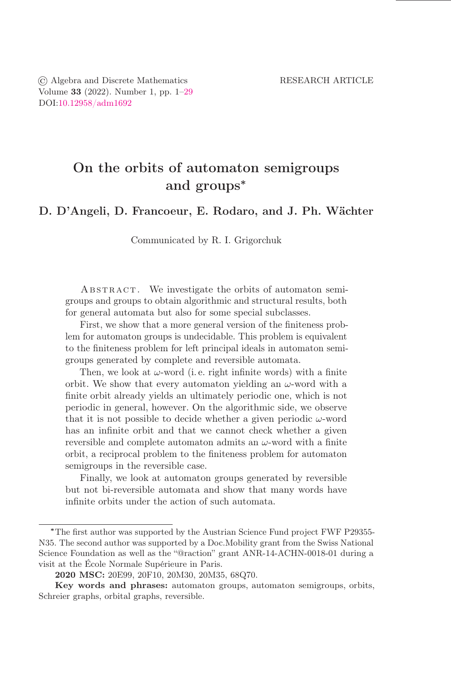© Algebra and Discrete Mathematics RESEARCH ARTICLE Volume 33 (2022). Number 1, pp.  $1-29$ DOI[:10.12958/adm1692](https://doi.org/10.12958/adm1692)

# On the orbits of automaton semigroups and groups<sup>∗</sup>

## D. D'Angeli, D. Francoeur, E. Rodaro, and J. Ph. Wächter

Communicated by R. I. Grigorchuk

ABSTRACT. We investigate the orbits of automaton semigroups and groups to obtain algorithmic and structural results, both for general automata but also for some special subclasses.

First, we show that a more general version of the finiteness problem for automaton groups is undecidable. This problem is equivalent to the finiteness problem for left principal ideals in automaton semigroups generated by complete and reversible automata.

Then, we look at  $\omega$ -word (i.e. right infinite words) with a finite orbit. We show that every automaton yielding an  $\omega$ -word with a finite orbit already yields an ultimately periodic one, which is not periodic in general, however. On the algorithmic side, we observe that it is not possible to decide whether a given periodic  $\omega$ -word has an infinite orbit and that we cannot check whether a given reversible and complete automaton admits an  $\omega$ -word with a finite orbit, a reciprocal problem to the őniteness problem for automaton semigroups in the reversible case.

Finally, we look at automaton groups generated by reversible but not bi-reversible automata and show that many words have infinite orbits under the action of such automata.

<sup>∗</sup>The őrst author was supported by the Austrian Science Fund project FWF P29355- N35. The second author was supported by a Doc.Mobility grant from the Swiss National Science Foundation as well as the "@raction" grant ANR-14-ACHN-0018-01 during a visit at the École Normale Supérieure in Paris.

<sup>2020</sup> MSC: 20E99, 20F10, 20M30, 20M35, 68Q70.

Key words and phrases: automaton groups, automaton semigroups, orbits, Schreier graphs, orbital graphs, reversible.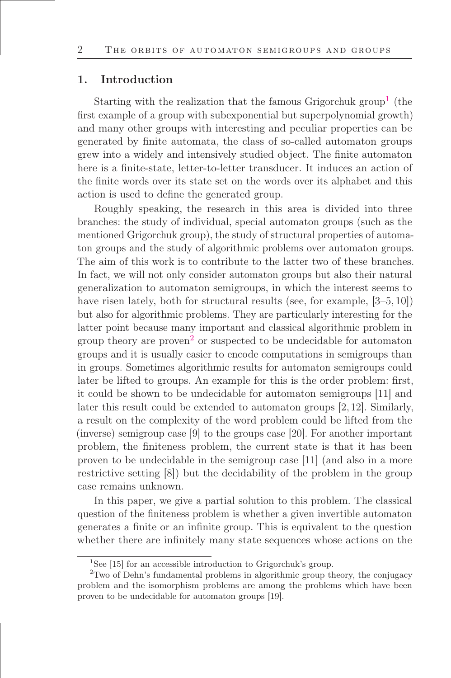#### 1. Introduction

Starting with the realization that the famous Grigorchuk group<sup>1</sup> (the first example of a group with subexponential but superpolynomial growth) and many other groups with interesting and peculiar properties can be generated by őnite automata, the class of so-called automaton groups grew into a widely and intensively studied object. The őnite automaton here is a finite-state, letter-to-letter transducer. It induces an action of the őnite words over its state set on the words over its alphabet and this action is used to deőne the generated group.

Roughly speaking, the research in this area is divided into three branches: the study of individual, special automaton groups (such as the mentioned Grigorchuk group), the study of structural properties of automaton groups and the study of algorithmic problems over automaton groups. The aim of this work is to contribute to the latter two of these branches. In fact, we will not only consider automaton groups but also their natural generalization to automaton semigroups, in which the interest seems to have risen lately, both for structural results (see, for example,  $[3-5, 10]$ ) but also for algorithmic problems. They are particularly interesting for the latter point because many important and classical algorithmic problem in group theory are proven<sup>2</sup> or suspected to be undecidable for automaton groups and it is usually easier to encode computations in semigroups than in groups. Sometimes algorithmic results for automaton semigroups could later be lifted to groups. An example for this is the order problem: first, it could be shown to be undecidable for automaton semigroups [11] and later this result could be extended to automaton groups [2, 12]. Similarly, a result on the complexity of the word problem could be lifted from the (inverse) semigroup case [9] to the groups case [20]. For another important problem, the finiteness problem, the current state is that it has been proven to be undecidable in the semigroup case [11] (and also in a more restrictive setting [8]) but the decidability of the problem in the group case remains unknown.

In this paper, we give a partial solution to this problem. The classical question of the őniteness problem is whether a given invertible automaton generates a őnite or an inőnite group. This is equivalent to the question whether there are infinitely many state sequences whose actions on the

<sup>&</sup>lt;sup>1</sup>See [15] for an accessible introduction to Grigorchuk's group.

<sup>2</sup>Two of Dehn's fundamental problems in algorithmic group theory, the conjugacy problem and the isomorphism problems are among the problems which have been proven to be undecidable for automaton groups [19].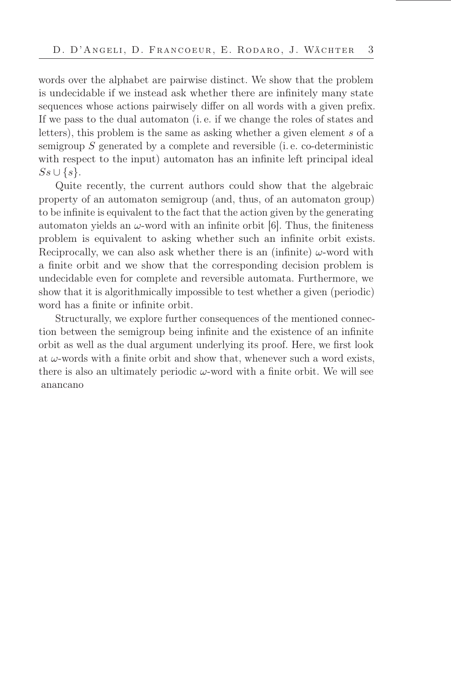words over the alphabet are pairwise distinct. We show that the problem is undecidable if we instead ask whether there are inőnitely many state sequences whose actions pairwisely differ on all words with a given prefix. If we pass to the dual automaton (i. e. if we change the roles of states and letters), this problem is the same as asking whether a given element s of a semigroup  $S$  generated by a complete and reversible (i.e. co-deterministic with respect to the input) automaton has an infinite left principal ideal  $Ss \cup \{s\}.$ 

Quite recently, the current authors could show that the algebraic property of an automaton semigroup (and, thus, of an automaton group) to be inőnite is equivalent to the fact that the action given by the generating automaton yields an  $\omega$ -word with an infinite orbit [6]. Thus, the finiteness problem is equivalent to asking whether such an inőnite orbit exists. Reciprocally, we can also ask whether there is an (infinite)  $\omega$ -word with a finite orbit and we show that the corresponding decision problem is undecidable even for complete and reversible automata. Furthermore, we show that it is algorithmically impossible to test whether a given (periodic) word has a finite or infinite orbit.

Structurally, we explore further consequences of the mentioned connection between the semigroup being inőnite and the existence of an inőnite orbit as well as the dual argument underlying its proof. Here, we őrst look at  $\omega$ -words with a finite orbit and show that, whenever such a word exists, there is also an ultimately periodic  $\omega$ -word with a finite orbit. We will see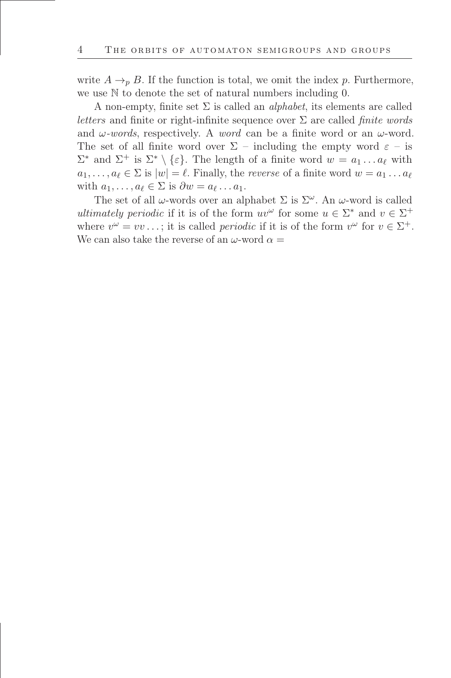write  $A \rightarrow_{p} B$ . If the function is total, we omit the index p. Furthermore, we use N to denote the set of natural numbers including 0.

A non-empty, finite set  $\Sigma$  is called an *alphabet*, its elements are called letters and finite or right-infinite sequence over  $\Sigma$  are called *finite words* and  $\omega$ -words, respectively. A word can be a finite word or an  $\omega$ -word. The set of all finite word over  $\Sigma$  – including the empty word  $\varepsilon$  – is  $\Sigma^*$  and  $\Sigma^+$  is  $\Sigma^* \setminus \{\varepsilon\}$ . The length of a finite word  $w = a_1 \dots a_\ell$  with  $a_1, \ldots, a_\ell \in \Sigma$  is  $|w| = \ell$ . Finally, the *reverse* of a finite word  $w = a_1 \ldots a_\ell$ with  $a_1, \ldots, a_\ell \in \Sigma$  is  $\partial w = a_\ell \ldots a_1$ .

The set of all  $\omega$ -words over an alphabet  $\Sigma$  is  $\Sigma^{\omega}$ . An  $\omega$ -word is called ultimately periodic if it is of the form  $uv^{\omega}$  for some  $u \in \Sigma^*$  and  $v \in \Sigma^+$ where  $v^{\omega} = vv \dots$ ; it is called *periodic* if it is of the form  $v^{\omega}$  for  $v \in \Sigma^{+}$ . We can also take the reverse of an  $\omega$ -word  $\alpha =$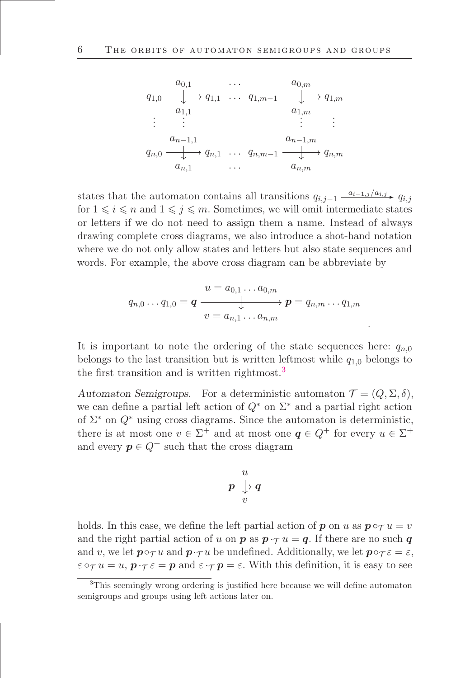$$
q_{1,0} \xrightarrow{\begin{array}{c}\n a_{0,1} & \cdots & a_{0,m} \\
 \downarrow & q_{1,1} & \cdots & q_{1,m-1} \xrightarrow{\begin{array}{c}\n a_{0,m} \\
 a_{1,m} \\
 \vdots \\
 a_{n-1,1}\n \end{array}}\n q_{1,1} \cdots q_{1,m-1} \xrightarrow{\begin{array}{c}\n a_{1,m} \\
 a_{1,m} \\
 \vdots \\
 a_{n,m}\n \end{array}}\n q_{n,0} \xrightarrow{\begin{array}{c}\n a_{n-1,1} \\
 \downarrow & q_{n,m}\n \end{array}}\n q_{n,1} \cdots q_{n,m-1} \xrightarrow{\begin{array}{c}\n a_{n,m} \\
 \downarrow & q_{n,m}\n \end{array}}\n q_{n,m}
$$

states that the automaton contains all transitions  $q_{i,j-1} \xrightarrow{a_{i-1,j}/a_{i,j}} q_{i,j}$ for  $1 \leq i \leq n$  and  $1 \leq j \leq m$ . Sometimes, we will omit intermediate states or letters if we do not need to assign them a name. Instead of always drawing complete cross diagrams, we also introduce a shot-hand notation where we do not only allow states and letters but also state sequences and words. For example, the above cross diagram can be abbreviate by

$$
q_{n,0}\ldots q_{1,0} = \boldsymbol{q} \xrightarrow{\begin{subarray}{c} u = a_{0,1}\ldots a_{0,m} \\ \downarrow \end{subarray}} \boldsymbol{p} = q_{n,m}\ldots q_{1,m}
$$

.

It is important to note the ordering of the state sequences here:  $q_{n,0}$ belongs to the last transition but is written leftmost while  $q_{1,0}$  belongs to the first transition and is written rightmost.<sup>3</sup>

Automaton Semigroups. For a deterministic automaton  $\mathcal{T} = (Q, \Sigma, \delta)$ , we can define a partial left action of  $Q^*$  on  $\Sigma^*$  and a partial right action of  $\Sigma^*$  on  $Q^*$  using cross diagrams. Since the automaton is deterministic, there is at most one  $v \in \Sigma^+$  and at most one  $q \in Q^+$  for every  $u \in \Sigma^+$ and every  $p \in Q^+$  such that the cross diagram

$$
\begin{array}{c}\n u \\
 p \bigarrow f \\
 v\n \end{array}
$$

holds. In this case, we define the left partial action of **p** on u as  $p \circ \tau u = v$ and the right partial action of u on **p** as  $p \cdot \tau u = q$ . If there are no such q and v, we let  $\mathbf{p} \circ \tau u$  and  $\mathbf{p} \cdot \tau u$  be undefined. Additionally, we let  $\mathbf{p} \circ \tau \varepsilon = \varepsilon$ ,  $\varepsilon \circ_\tau u = u$ ,  $\mathbf{p} \cdot_\tau \varepsilon = \mathbf{p}$  and  $\varepsilon \cdot_\tau \mathbf{p} = \varepsilon$ . With this definition, it is easy to see

<sup>&</sup>lt;sup>3</sup>This seemingly wrong ordering is justified here because we will define automaton semigroups and groups using left actions later on.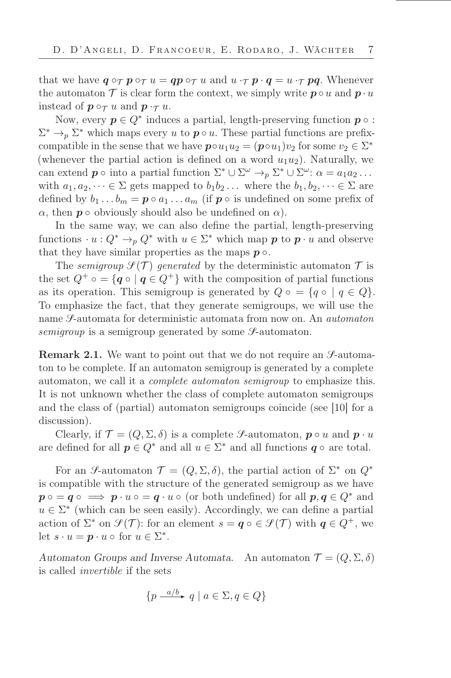that we have  $q \circ_{\mathcal{T}} p \circ_{\mathcal{T}} u = qp \circ_{\mathcal{T}} u$  and  $u \cdot_{\mathcal{T}} p \cdot q = u \cdot_{\mathcal{T}} pq$ . Whenever the automaton  $\mathcal T$  is clear form the context, we simply write  $p \circ u$  and  $p \cdot u$ instead of  $p \circ_\mathcal{T} u$  and  $p \cdot_\mathcal{T} u$ .

Now, every  $p \in Q^*$  induces a partial, length-preserving function  $p \circ$ :  $\Sigma^* \to_{p} \Sigma^*$  which maps every u to  $p \circ u$ . These partial functions are prefixcompatible in the sense that we have  $\mathbf{p} \circ u_1 u_2 = (\mathbf{p} \circ u_1) v_2$  for some  $v_2 \in \Sigma^*$ (whenever the partial action is defined on a word  $u_1u_2$ ). Naturally, we can extend  $p \circ \text{into a partial function } \Sigma^* \cup \Sigma^{\omega} \to_p \Sigma^* \cup \Sigma^{\omega} : \alpha = a_1 a_2 \dots$ with  $a_1, a_2, \dots \in \Sigma$  gets mapped to  $b_1, b_2, \dots$  where the  $b_1, b_2, \dots \in \Sigma$  are defined by  $b_1 \ldots b_m = \boldsymbol{p} \circ a_1 \ldots a_m$  (if  $\boldsymbol{p} \circ$  is undefined on some prefix of  $\alpha$ , then **p**  $\circ$  obviously should also be undefined on  $\alpha$ ).

In the same way, we can also define the partial, length-preserving functions  $\cdot u: Q^* \to_p Q^*$  with  $u \in \Sigma^*$  which map  $p$  to  $p \cdot u$  and observe that they have similar properties as the maps  $p \circ$ .

The semigroup  $\mathcal{I}(\mathcal{T})$  generated by the deterministic automaton  $\mathcal{T}$  is the set  $Q^+ \circ = \{ q \circ | q \in Q^+ \}$  with the composition of partial functions as its operation. This semigroup is generated by  $Q \circ = \{q \circ | q \in Q\}.$ To emphasize the fact, that they generate semigroups, we will use the name *S*-automata for deterministic automata from now on. An *automaton* semigroup is a semigroup generated by some  $\mathcal{S}\text{-automaton}$ .

**Remark 2.1.** We want to point out that we do not require an  $\mathcal{S}_{\text{-}}$ -automaton to be complete. If an automaton semigroup is generated by a complete automaton, we call it a complete automaton semigroup to emphasize this. It is not unknown whether the class of complete automaton semigroups and the class of (partial) automaton semigroups coincide (see [10] for a discussion).

Clearly, if  $\mathcal{T} = (Q, \Sigma, \delta)$  is a complete S-automaton,  $p \circ u$  and  $p \cdot u$ are defined for all  $p \in Q^*$  and all  $u \in \Sigma^*$  and all functions  $q \circ$  are total.

For an S-automaton  $\mathcal{T} = (Q, \Sigma, \delta)$ , the partial action of  $\Sigma^*$  on  $Q^*$ is compatible with the structure of the generated semigroup as we have  $p \circ q \circ \implies p \cdot u \circ q \cdot u \circ ($  or both undefined) for all  $p, q \in Q^*$  and  $u \in \Sigma^*$  (which can be seen easily). Accordingly, we can define a partial action of  $\Sigma^*$  on  $\mathcal{S}(\mathcal{T})$ : for an element  $s = \boldsymbol{q} \circ \in \mathcal{S}(\mathcal{T})$  with  $\boldsymbol{q} \in Q^+$ , we let  $s \cdot u = \boldsymbol{p} \cdot u \circ \text{ for } u \in \Sigma^*$ .

Automaton Groups and Inverse Automata. An automaton  $\mathcal{T} = (Q, \Sigma, \delta)$ is called invertible if the sets

$$
\{p \xrightarrow{a/b} q \mid a \in \Sigma, q \in Q\}
$$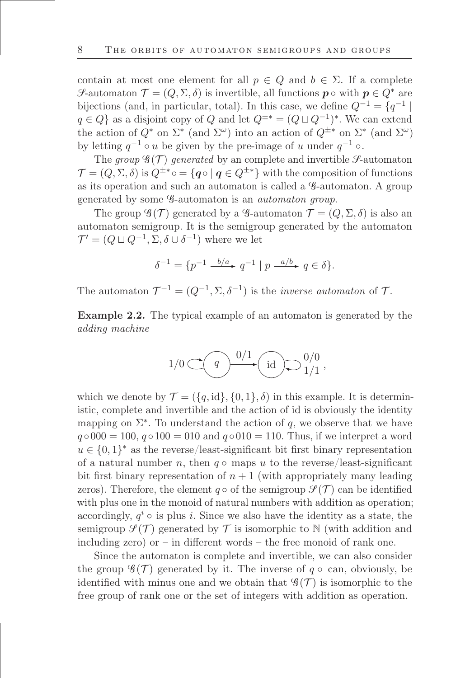contain at most one element for all  $p \in Q$  and  $b \in \Sigma$ . If a complete S-automaton  $\mathcal{T} = (Q, \Sigma, \delta)$  is invertible, all functions  $p \circ \text{with } p \in Q^*$  are bijections (and, in particular, total). In this case, we define  $Q^{-1} = \{q^{-1} |$  $q \in Q$  as a disjoint copy of Q and let  $Q^{\pm *} = (Q \sqcup Q^{-1})^*$ . We can extend the action of  $Q^*$  on  $\Sigma^*$  (and  $\Sigma^{\omega}$ ) into an action of  $Q^{\pm*}$  on  $\Sigma^*$  (and  $\Sigma^{\omega}$ ) by letting  $q^{-1} \circ u$  be given by the pre-image of u under  $q^{-1} \circ$ .

The group  $\mathscr{G}(\mathcal{T})$  generated by an complete and invertible  $\mathscr{S}\text{-automaton}$  $\mathcal{T} = (Q, \Sigma, \delta)$  is  $Q^{\pm *} \circ = \{ \mathbf{q} \circ | \mathbf{q} \in Q^{\pm *} \}$  with the composition of functions as its operation and such an automaton is called a G-automaton. A group generated by some G-automaton is an automaton group.

The group  $\mathscr{G}(\mathcal{T})$  generated by a  $\mathscr{G}\text{-automaton }\mathcal{T}=(Q,\Sigma,\delta)$  is also an automaton semigroup. It is the semigroup generated by the automaton  $\mathcal{T}' = (Q \sqcup Q^{-1}, \Sigma, \delta \cup \delta^{-1})$  where we let

$$
\delta^{-1} = \{ p^{-1} \xrightarrow{b/a} q^{-1} \mid p \xrightarrow{a/b} q \in \delta \}.
$$

The automaton  $\mathcal{T}^{-1} = (Q^{-1}, \Sigma, \delta^{-1})$  is the *inverse automaton* of  $\mathcal{T}$ .

<span id="page-7-0"></span>Example 2.2. The typical example of an automaton is generated by the adding machine

$$
1/0 \subset \left( \qquad \qquad \textcircled{1} \right) \qquad \qquad \textcircled{1} \qquad \qquad \textcircled{1} \qquad \qquad \textcircled{1} \qquad \qquad \textcircled{1} \qquad \qquad \textcircled{1} \qquad \qquad \textcircled{1} \qquad \qquad \textcircled{1} \qquad \qquad \textcircled{1} \qquad \qquad \textcircled{1} \qquad \qquad \textcircled{1} \qquad \qquad \textcircled{1} \qquad \qquad \textcircled{1} \qquad \qquad \textcircled{1} \qquad \qquad \textcircled{1} \qquad \qquad \textcircled{1} \qquad \qquad \textcircled{1} \qquad \qquad \textcircled{1} \qquad \qquad \textcircled{1} \qquad \qquad \textcircled{1} \qquad \qquad \textcircled{1} \qquad \qquad \textcircled{1} \qquad \qquad \textcircled{1} \qquad \qquad \textcircled{1} \qquad \qquad \textcircled{1} \qquad \qquad \textcircled{1} \qquad \qquad \textcircled{1} \qquad \qquad \textcircled{1} \qquad \qquad \textcircled{1} \qquad \qquad \textcircled{1} \qquad \qquad \textcircled{1} \qquad \qquad \textcircled{1} \qquad \qquad \textcircled{1} \qquad \qquad \textcircled{1} \qquad \qquad \textcircled{1} \qquad \qquad \textcircled{1} \qquad \qquad \textcircled{1} \qquad \qquad \textcircled{1} \qquad \qquad \textcircled{1} \qquad \qquad \textcircled{1} \qquad \qquad \textcircled{1} \qquad \qquad \textcircled{1} \qquad \qquad \textcircled{1} \qquad \qquad \textcircled{1} \qquad \qquad \textcircled{1} \qquad \qquad \textcircled{1} \qquad \qquad \textcircled{1} \qquad \qquad \textcircled{1} \qquad \qquad \textcircled{1} \qquad \qquad \textcircled{1} \qquad \qquad \textcircled{1} \qquad \qquad \textcircled{1} \qquad \qquad \textcircled{1} \qquad \qquad \textcircled{1} \qquad \qquad \textcircled{1} \qquad \qquad \textcircled{1} \qquad \qquad \textcircled{1} \qquad \qquad \
$$

which we denote by  $\mathcal{T} = (\{q, id\}, \{0, 1\}, \delta)$  in this example. It is deterministic, complete and invertible and the action of id is obviously the identity mapping on  $\Sigma^*$ . To understand the action of q, we observe that we have  $q \circ 000 = 100, q \circ 100 = 010$  and  $q \circ 010 = 110$ . Thus, if we interpret a word  $u \in \{0,1\}^*$  as the reverse/least-significant bit first binary representation of a natural number n, then  $q \circ \text{maps } u$  to the reverse/least-significant bit first binary representation of  $n+1$  (with appropriately many leading zeros). Therefore, the element  $q \circ$  of the semigroup  $\mathcal{S}(\mathcal{T})$  can be identified with plus one in the monoid of natural numbers with addition as operation; accordingly,  $q^i \circ$  is plus i. Since we also have the identity as a state, the semigroup  $\mathcal{I}(\mathcal{T})$  generated by  $\mathcal T$  is isomorphic to N (with addition and including zero) or  $-$  in different words  $-$  the free monoid of rank one.

Since the automaton is complete and invertible, we can also consider the group  $\mathscr{G}(\mathcal{T})$  generated by it. The inverse of  $q \circ \text{can},$  obviously, be identified with minus one and we obtain that  $\mathscr{G}(\mathcal{T})$  is isomorphic to the free group of rank one or the set of integers with addition as operation.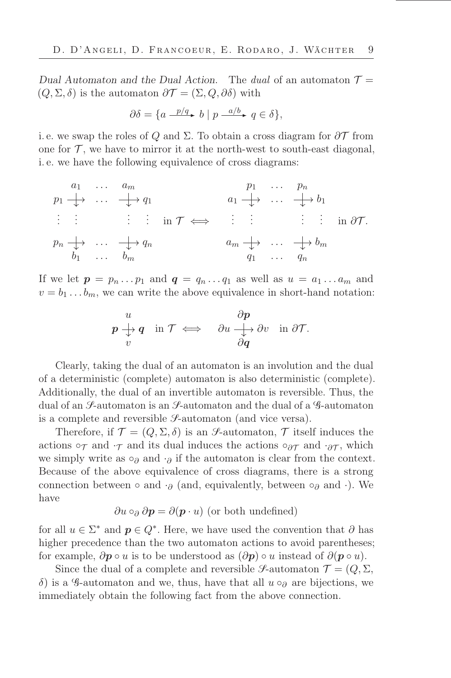Dual Automaton and the Dual Action. The dual of an automaton  $\mathcal{T} =$  $(Q, \Sigma, \delta)$  is the automaton  $\partial \mathcal{T} = (\Sigma, Q, \partial \delta)$  with

$$
\partial \delta = \{ a \xrightarrow{p/q} b \mid p \xrightarrow{a/b} q \in \delta \},
$$

i. e. we swap the roles of Q and  $\Sigma$ . To obtain a cross diagram for  $\partial \mathcal{T}$  from one for  $\mathcal T$ , we have to mirror it at the north-west to south-east diagonal, i. e. we have the following equivalence of cross diagrams:

$$
p_1 \downarrow \cdots \downarrow q_1
$$
\n
$$
\vdots \qquad \vdots \qquad \vdots \qquad \vdots \qquad \vdots \qquad \vdots \qquad \vdots \qquad \vdots \qquad \vdots \qquad \vdots \qquad \vdots \qquad \vdots \qquad \vdots \qquad \vdots \qquad \vdots \qquad \vdots \qquad \vdots \qquad \vdots \qquad \vdots \qquad \vdots \qquad \vdots \qquad \vdots \qquad \vdots \qquad \vdots \qquad \vdots \qquad \vdots \qquad \vdots \qquad \vdots \qquad \vdots \qquad \vdots \qquad \vdots \qquad \vdots \qquad \vdots \qquad \vdots \qquad \vdots \qquad \vdots \qquad \vdots \qquad \vdots \qquad \vdots \qquad \vdots \qquad \vdots \qquad \vdots \qquad \vdots \qquad \vdots \qquad \vdots \qquad \vdots \qquad \vdots \qquad \vdots \qquad \vdots \qquad \vdots \qquad \vdots \qquad \vdots \qquad \vdots \qquad \vdots \qquad \vdots \qquad \vdots \qquad \vdots \qquad \vdots \qquad \vdots \qquad \vdots \qquad \vdots \qquad \vdots \qquad \vdots \qquad \vdots \qquad \vdots \qquad \vdots \qquad \vdots \qquad \vdots \qquad \vdots \qquad \vdots \qquad \vdots \qquad \vdots \qquad \vdots \qquad \vdots \qquad \vdots \qquad \vdots \qquad \vdots \qquad \vdots \qquad \vdots \qquad \vdots \qquad \vdots \qquad \vdots \qquad \vdots \qquad \vdots \qquad \vdots \qquad \vdots \qquad \vdots \qquad \vdots \qquad \vdots \qquad \vdots \qquad \vdots \qquad \vdots \qquad \vdots \qquad \vdots \qquad \vdots \qquad \vdots \qquad \vdots \qquad \vdots \qquad \vdots \qquad \vdots \qquad \vdots \qquad \vdots \qquad \vdots \qquad \vdots \qquad \vdots \qquad \vdots \qquad \vdots \qquad \vdots \qquad \vdots \qquad \vdots \qquad \vdots \qquad \vdots \qquad \vdots \qquad \vdots \qquad \vdots \qquad \vdots \qquad \vdots \qquad \vdots \qquad \vdots \qquad \vdots \qquad \vdots \qquad \vdots \qquad \vdots
$$

If we let  $p = p_n \dots p_1$  and  $q = q_n \dots q_1$  as well as  $u = a_1 \dots a_m$  and  $v = b_1 \dots b_m$ , we can write the above equivalence in short-hand notation:

$$
\begin{array}{ccc}\nu & \partial p \\
p \downarrow q & \text{in } \mathcal{T} \iff & \partial u \downarrow \to \partial v \\
v & & \partial q\n\end{array}
$$

Clearly, taking the dual of an automaton is an involution and the dual of a deterministic (complete) automaton is also deterministic (complete). Additionally, the dual of an invertible automaton is reversible. Thus, the dual of an  $\mathcal{S}\text{-automaton}$  is an  $\mathcal{S}\text{-automaton}$  and the dual of a  $\mathcal{S}\text{-automaton}$ is a complete and reversible  $\mathcal{S}\text{-automaton}$  (and vice versa).

Therefore, if  $\mathcal{T} = (Q, \Sigma, \delta)$  is an *S*-automaton,  $\mathcal{T}$  itself induces the actions  $\circ_{\mathcal{T}}$  and  $\cdot_{\mathcal{T}}$  and its dual induces the actions  $\circ_{\partial \mathcal{T}}$  and  $\cdot_{\partial \mathcal{T}}$ , which we simply write as  $\circ_{\partial}$  and  $\cdot_{\partial}$  if the automaton is clear from the context. Because of the above equivalence of cross diagrams, there is a strong connection between ∘ and  $\cdot_{\partial}$  (and, equivalently, between ∘<sub> $\partial$ </sub> and  $\cdot$ ). We have

$$
\partial u \circ_{\partial} \partial p = \partial (p \cdot u)
$$
 (or both undefined)

for all  $u \in \Sigma^*$  and  $p \in Q^*$ . Here, we have used the convention that  $\partial$  has higher precedence than the two automaton actions to avoid parentheses; for example,  $\partial p \circ u$  is to be understood as  $(\partial p) \circ u$  instead of  $\partial (p \circ u)$ .

Since the dual of a complete and reversible *S*-automaton  $\mathcal{T} = (Q, \Sigma, \Sigma)$ δ) is a G-automaton and we, thus, have that all  $u \circ_{\partial}$  are bijections, we immediately obtain the following fact from the above connection.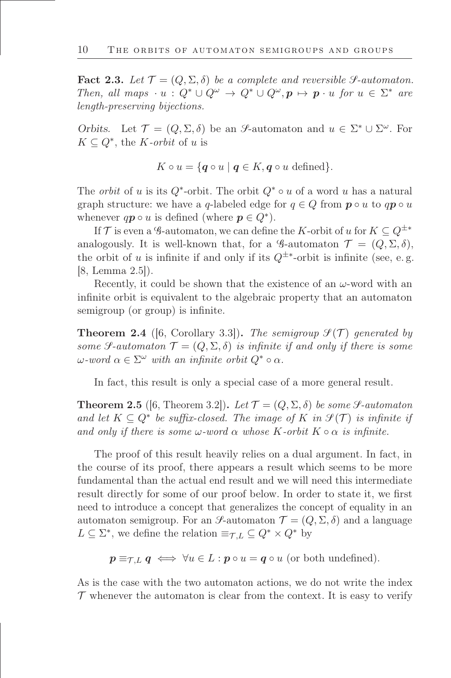<span id="page-9-2"></span>**Fact 2.3.** Let  $\mathcal{T} = (Q, \Sigma, \delta)$  be a complete and reversible S-automaton. Then, all maps  $\cdot u : Q^* \cup Q^{\omega} \to Q^* \cup Q^{\omega}, p \mapsto p \cdot u$  for  $u \in \Sigma^*$  are length-preserving bijections.

Orbits. Let  $\mathcal{T} = (Q, \Sigma, \delta)$  be an S-automaton and  $u \in \Sigma^* \cup \Sigma^\omega$ . For  $K \subseteq Q^*$ , the *K*-orbit of u is

$$
K \circ u = \{ \mathbf{q} \circ u \mid \mathbf{q} \in K, \mathbf{q} \circ u \text{ defined} \}.
$$

The *orbit* of u is its  $Q^*$ -orbit. The orbit  $Q^* \circ u$  of a word u has a natural graph structure: we have a q-labeled edge for  $q \in Q$  from  $p \circ u$  to  $qp \circ u$ whenever  $q\mathbf{p} \circ u$  is defined (where  $\mathbf{p} \in Q^*$ ).

If T is even a G-automaton, we can define the K-orbit of u for  $K \subseteq Q^{\pm *}$ analogously. It is well-known that, for a G-automaton  $\mathcal{T} = (Q, \Sigma, \delta)$ , the orbit of u is infinite if and only if its  $Q^{\pm*}$ -orbit is infinite (see, e.g. [8, Lemma 2.5]).

Recently, it could be shown that the existence of an  $\omega$ -word with an infinite orbit is equivalent to the algebraic property that an automaton semigroup (or group) is infinite.

<span id="page-9-0"></span>**Theorem 2.4** ([6, Corollary 3.3]). The semigroup  $\mathcal{I}(\mathcal{T})$  generated by some  $\mathcal{F}\text{-}automaton \mathcal{T} = (Q, \Sigma, \delta)$  is infinite if and only if there is some  $\omega$ -word  $\alpha \in \Sigma^{\omega}$  with an infinite orbit  $Q^* \circ \alpha$ .

In fact, this result is only a special case of a more general result.

<span id="page-9-1"></span>**Theorem 2.5** ([6, Theorem 3.2]). Let  $\mathcal{T} = (Q, \Sigma, \delta)$  be some  $\mathcal{S}\text{-}automaton$ and let  $K \subseteq Q^*$  be suffix-closed. The image of K in  $\mathcal{S}(\mathcal{T})$  is infinite if and only if there is some  $\omega$ -word  $\alpha$  whose K-orbit  $K \circ \alpha$  is infinite.

The proof of this result heavily relies on a dual argument. In fact, in the course of its proof, there appears a result which seems to be more fundamental than the actual end result and we will need this intermediate result directly for some of our proof below. In order to state it, we first need to introduce a concept that generalizes the concept of equality in an automaton semigroup. For an *S*-automaton  $\mathcal{T} = (Q, \Sigma, \delta)$  and a language  $L \subseteq \Sigma^*$ , we define the relation  $\equiv_{\mathcal{T},L} \subseteq Q^* \times Q^*$  by

 $p \equiv_{\mathcal{T}.L} q \iff \forall u \in L : p \circ u = q \circ u$  (or both undefined).

As is the case with the two automaton actions, we do not write the index  $\mathcal T$  whenever the automaton is clear from the context. It is easy to verify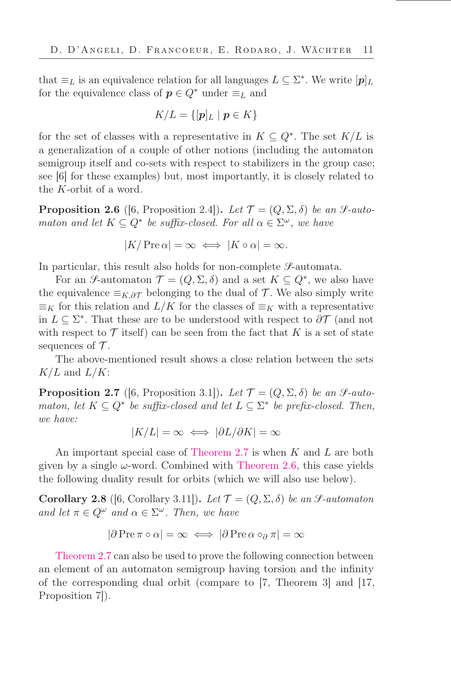that  $\equiv_L$  is an equivalence relation for all languages  $L \subseteq \Sigma^*$ . We write  $[p]_L$ for the equivalence class of  $p \in Q^*$  under  $\equiv_L$  and

$$
K/L = \{ [\boldsymbol{p}]_L \mid \boldsymbol{p} \in K \}
$$

for the set of classes with a representative in  $K \subseteq Q^*$ . The set  $K/L$  is a generalization of a couple of other notions (including the automaton semigroup itself and co-sets with respect to stabilizers in the group case; see [6] for these examples) but, most importantly, it is closely related to the K-orbit of a word.

<span id="page-10-1"></span>**Proposition 2.6** ([6, Proposition 2.4]). Let  $\mathcal{T} = (Q, \Sigma, \delta)$  be an  $\mathcal{S}\text{-}auto$ maton and let  $K \subseteq Q^*$  be suffix-closed. For all  $\alpha \in \Sigma^{\omega}$ , we have

$$
|K/\operatorname{Pre}\alpha|=\infty \iff |K\circ\alpha|=\infty.
$$

In particular, this result also holds for non-complete  $\mathcal{S}\text{-automata.}$ 

For an S-automaton  $\mathcal{T} = (Q, \Sigma, \delta)$  and a set  $K \subseteq Q^*$ , we also have the equivalence  $\equiv_{K,\partial\mathcal{T}}$  belonging to the dual of  $\mathcal{T}$ . We also simply write  $\equiv_K$  for this relation and  $L/K$  for the classes of  $\equiv_K$  with a representative in  $L \subseteq \Sigma^*$ . That these are to be understood with respect to  $\partial \mathcal{T}$  (and not with respect to  $\mathcal T$  itself) can be seen from the fact that K is a set of state sequences of  $\mathcal T$ .

The above-mentioned result shows a close relation between the sets  $K/L$  and  $L/K$ :

<span id="page-10-0"></span>**Proposition 2.7** ([6, Proposition 3.1]). Let  $\mathcal{T} = (Q, \Sigma, \delta)$  be an *S*-automaton, let  $K \subseteq Q^*$  be suffix-closed and let  $L \subseteq \Sigma^*$  be prefix-closed. Then, we have:

$$
|K/L| = \infty \iff |\partial L/\partial K| = \infty
$$

An important special case of [Theorem 2.7](#page-10-0) is when K and L are both given by a single  $\omega$ -word. Combined with [Theorem 2.6,](#page-10-1) this case yields the following duality result for orbits (which we will also use below).

<span id="page-10-2"></span>Corollary 2.8 ([6, Corollary 3.11]). Let  $\mathcal{T} = (Q, \Sigma, \delta)$  be an  $\mathcal{S}\text{-}automaton$ and let  $\pi \in Q^{\omega}$  and  $\alpha \in \Sigma^{\omega}$ . Then, we have

$$
|\partial \operatorname{Pre} \pi \circ \alpha| = \infty \iff |\partial \operatorname{Pre} \alpha \circ_{\partial} \pi| = \infty
$$

[Theorem 2.7](#page-10-0) can also be used to prove the following connection between an element of an automaton semigroup having torsion and the infinity of the corresponding dual orbit (compare to [7, Theorem 3] and [17, Proposition 7]).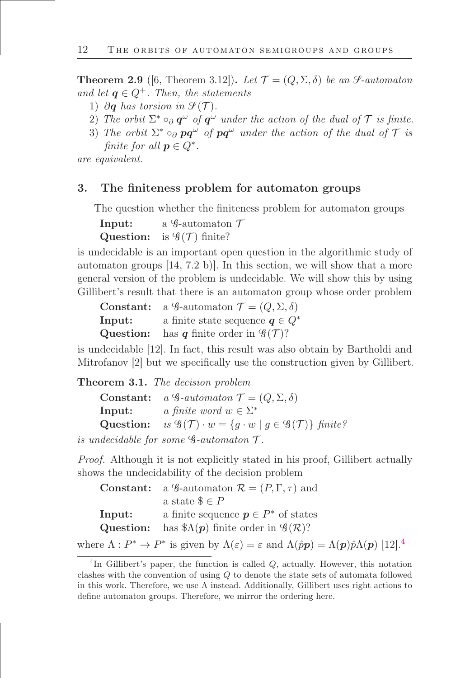<span id="page-11-1"></span>**Theorem 2.9** ([6, Theorem 3.12]). Let  $\mathcal{T} = (Q, \Sigma, \delta)$  be an *S*-automaton and let  $q \in Q^+$ . Then, the statements

- 1) ∂q has torsion in  $\mathcal{S}(\mathcal{T})$ .
- 2) The orbit  $\Sigma^* \circ_{\partial} q^{\omega}$  of  $q^{\omega}$  under the action of the dual of  $\mathcal T$  is finite.
- 3) The orbit  $\Sigma^* \circ_{\partial} pq^{\omega}$  of  $pq^{\omega}$  under the action of the dual of  $\mathcal T$  is finite for all  $p \in Q^*$ .

are equivalent.

#### 3. The finiteness problem for automaton groups

The question whether the finiteness problem for automaton groups

| Input:    | a $\mathscr G$ -automaton $\mathscr T$ |
|-----------|----------------------------------------|
| Question: | is $\mathscr{G}(\mathcal{T})$ finite?  |

is undecidable is an important open question in the algorithmic study of automaton groups [14, 7.2 b)]. In this section, we will show that a more general version of the problem is undecidable. We will show this by using Gillibert's result that there is an automaton group whose order problem

|           | <b>Constant:</b> a G-automaton $\mathcal{T} = (Q, \Sigma, \delta)$ |
|-----------|--------------------------------------------------------------------|
| Input:    | a finite state sequence $q \in Q^*$                                |
| Question: | has q finite order in $\mathscr{G}(\mathcal{T})$ ?                 |

is undecidable [12]. In fact, this result was also obtain by Bartholdi and Mitrofanov [2] but we specifically use the construction given by Gillibert.

#### <span id="page-11-0"></span>Theorem 3.1. The decision problem

|        | <b>Constant:</b> a $\mathscr G$ -automaton $\mathcal T = (Q, \Sigma, \delta)$                                 |
|--------|---------------------------------------------------------------------------------------------------------------|
| Input: | a finite word $w \in \Sigma^*$                                                                                |
|        | Question: is $\mathscr{G}(\mathcal{T}) \cdot w = \{ g \cdot w \mid g \in \mathscr{G}(\mathcal{T}) \}$ finite? |

is undecidable for some  $\mathscr{G}\text{-}automaton$   $\mathscr{T}\text{.}$ 

Proof. Although it is not explicitly stated in his proof, Gillibert actually shows the undecidability of the decision problem

|        | <b>Constant:</b> a $\mathcal{G}$ -automaton $\mathcal{R} = (P, \Gamma, \tau)$ and |
|--------|-----------------------------------------------------------------------------------|
|        | a state $\$\in P$                                                                 |
| Input: | a finite sequence $p \in P^*$ of states                                           |
|        | <b>Question:</b> has $\Lambda(p)$ finite order in $\mathscr{G}(\mathcal{R})$ ?    |

where  $\Lambda: P^* \to P^*$  is given by  $\Lambda(\varepsilon) = \varepsilon$  and  $\Lambda(p\hat{p}) = \Lambda(p)\hat{p}\Lambda(p)$  [12].<sup>4</sup>

 ${}^{4}$ In Gillibert's paper, the function is called  $Q$ , actually. However, this notation clashes with the convention of using Q to denote the state sets of automata followed in this work. Therefore, we use  $\Lambda$  instead. Additionally, Gillibert uses right actions to define automaton groups. Therefore, we mirror the ordering here.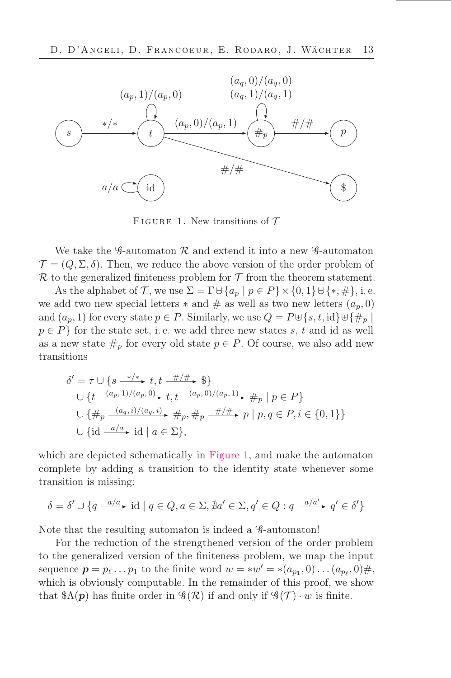

<span id="page-12-0"></span>FIGURE 1. New transitions of  $\mathcal T$ 

We take the G-automaton  $\mathcal R$  and extend it into a new G-automaton  $\mathcal{T} = (Q, \Sigma, \delta)$ . Then, we reduce the above version of the order problem of  $\mathcal R$  to the generalized finiteness problem for  $\mathcal T$  from the theorem statement.

As the alphabet of T, we use  $\Sigma = \Gamma \oplus \{a_p \mid p \in P\} \times \{0,1\} \oplus \{*,\#\},\$ i. e. we add two new special letters  $*$  and  $#$  as well as two new letters  $(a_p, 0)$ and  $(a_p, 1)$  for every state  $p \in P$ . Similarly, we use  $Q = P \cup \{s, t, id\} \cup \{\#_p \mid s \in P\}$  $p \in P$  for the state set, i.e. we add three new states s, t and id as well as a new state  $\#_p$  for every old state  $p \in P$ . Of course, we also add new transitions

$$
\delta' = \tau \cup \{ s \xrightarrow{\ast/\ast} t, t \xrightarrow{\#/\#} \$\}
$$
  

$$
\cup \{ t \xrightarrow{(a_p, 1)/(a_p, 0)} t, t \xrightarrow{(a_p, 0)/(a_p, 1)} \#_p | p \in P \}
$$
  

$$
\cup \{ \#_p \xrightarrow{(a_q, i)/(a_q, i)} \#_p, \#_p \xrightarrow{\#/\#} p | p, q \in P, i \in \{0, 1\} \}
$$
  

$$
\cup \{ id \xrightarrow{a/a} \text{ id } | a \in \Sigma \},
$$

which are depicted schematically in [Figure 1,](#page-12-0) and make the automaton complete by adding a transition to the identity state whenever some transition is missing:

$$
\delta = \delta' \cup \{ q \xrightarrow{a/a} \text{ id } | q \in Q, a \in \Sigma, \nexists a' \in \Sigma, q' \in Q : q \xrightarrow{a/a'} q' \in \delta' \}
$$

Note that the resulting automaton is indeed a  $\mathcal{G}\text{-automaton}!$ 

For the reduction of the strengthened version of the order problem to the generalized version of the őniteness problem, we map the input sequence  $p = p_\ell \dots p_1$  to the finite word  $w = *w' = * (a_{p_1}, 0) \dots (a_{p_\ell}, 0) \#$ , which is obviously computable. In the remainder of this proof, we show that  $\mathcal{A}(\mathbf{p})$  has finite order in  $\mathcal{G}(\mathcal{R})$  if and only if  $\mathcal{G}(\mathcal{T}) \cdot w$  is finite.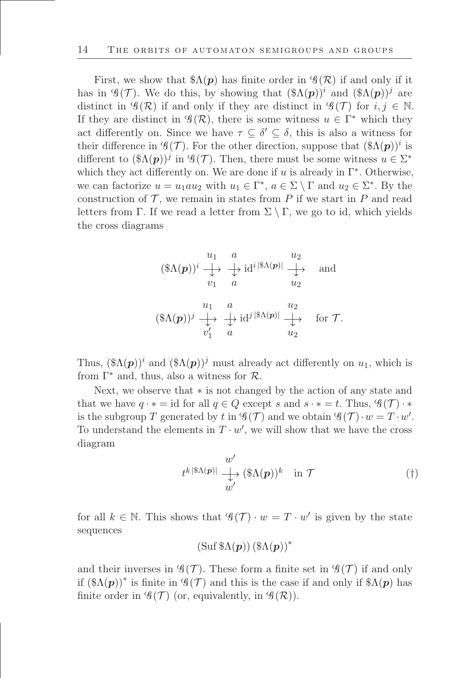First, we show that  $\mathcal{S}_{\Lambda}(\boldsymbol{p})$  has finite order in  $\mathcal{G}(\mathcal{R})$  if and only if it has in  $\mathscr{G}(\mathcal{T})$ . We do this, by showing that  $(\mathscr{A}(\mathbf{p}))^i$  and  $(\mathscr{A}(\mathbf{p}))^j$  are distinct in  $\mathscr{G}(\mathcal{R})$  if and only if they are distinct in  $\mathscr{G}(\mathcal{T})$  for  $i, j \in \mathbb{N}$ . If they are distinct in  $\mathscr{G}(\mathcal{R})$ , there is some witness  $u \in \Gamma^*$  which they act differently on. Since we have  $\tau \subseteq \delta' \subseteq \delta$ , this is also a witness for their difference in  $\mathscr{G}(\mathcal{T})$ . For the other direction, suppose that  $(\Re(\mathbf{p}))^i$  is different to  $(\Re \Lambda(p))^j$  in  $\mathscr{G}(\mathcal{T})$ . Then, there must be some witness  $u \in \Sigma^*$ which they act differently on. We are done if  $u$  is already in  $\Gamma^*$ . Otherwise, we can factorize  $u = u_1 a u_2$  with  $u_1 \in \Gamma^*$ ,  $a \in \Sigma \setminus \Gamma$  and  $u_2 \in \Sigma^*$ . By the construction of  $\mathcal T$ , we remain in states from P if we start in P and read letters from Γ. If we read a letter from  $\Sigma \setminus \Gamma$ , we go to id, which yields the cross diagrams

$$
(\$\Lambda(\boldsymbol{p}))^i \xrightarrow{\downarrow} \begin{array}{c} u_1 \ a \to id^{i} \|\Lambda(\boldsymbol{p})\| \xrightarrow{\downarrow} \text{ and} \\ v_1 \ a \to u_2 \end{array} \text{ and}
$$

$$
(\$\Lambda(\boldsymbol{p}))^j \xrightarrow{\downarrow} \begin{array}{c} u_1 \ a \to id^{j} \|\Lambda(\boldsymbol{p})\| \xrightarrow{\downarrow} \text{ for } \mathcal{T}.
$$

$$
v'_1 \ a \to u_2
$$

Thus,  $(\Re \Lambda(p))^i$  and  $(\Re \Lambda(p))^j$  must already act differently on  $u_1$ , which is from  $\Gamma^*$  and, thus, also a witness for  $\mathcal{R}$ .

Next, we observe that ∗ is not changed by the action of any state and that we have  $q \cdot * = id$  for all  $q \in Q$  except s and  $s \cdot * = t$ . Thus,  $\mathscr{G}(\mathcal{T}) \cdot *$ is the subgroup T generated by t in  $\mathscr{G}(\mathcal{T})$  and we obtain  $\mathscr{G}(\mathcal{T}) \cdot w = T \cdot w'$ . To understand the elements in  $T \cdot w'$ , we will show that we have the cross diagram

$$
t^{k |\$ \Lambda(p)|} \xrightarrow{\psi'} (\$ \Lambda(p))^k \text{ in } \mathcal{T}
$$
 (†)

for all  $k \in \mathbb{N}$ . This shows that  $\mathscr{G}(\mathcal{T}) \cdot w = T \cdot w'$  is given by the state sequences

<span id="page-13-0"></span>
$$
(\operatorname{Suf} \, \$ \Lambda(\boldsymbol{p})) \, (\$ \Lambda(\boldsymbol{p}))^*
$$

and their inverses in  $\mathscr{G}(\mathcal{T})$ . These form a finite set in  $\mathscr{G}(\mathcal{T})$  if and only if  $(\Re\Lambda(\mathbf{p}))^*$  is finite in  $\mathscr{G}(\mathcal{T})$  and this is the case if and only if  $\Re(\mathbf{p})$  has finite order in  $\mathscr{G}(\mathcal{T})$  (or, equivalently, in  $\mathscr{G}(\mathcal{R})$ ).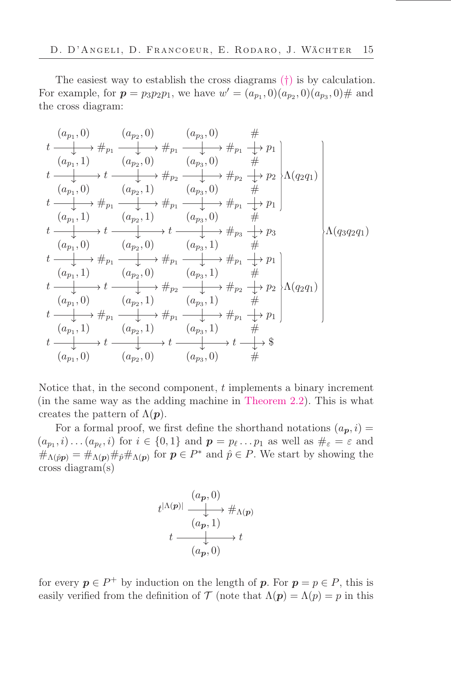The easiest way to establish the cross diagrams ([†](#page-13-0)) is by calculation. For example, for  $p = p_3 p_2 p_1$ , we have  $w' = (a_{p_1}, 0)(a_{p_2}, 0)(a_{p_3}, 0)$ # and the cross diagram:

$$
t \xrightarrow{(a_{p_1}, 0)} \qquad (a_{p_2}, 0) \qquad (a_{p_3}, 0) \qquad #
$$
\n
$$
t \xrightarrow{(a_{p_1}, 1)} \qquad (a_{p_2}, 0) \qquad (a_{p_3}, 0) \qquad #
$$
\n
$$
t \xrightarrow{(a_{p_1}, 0)} \qquad (a_{p_2}, 1) \qquad (a_{p_3}, 0) \qquad #
$$
\n
$$
t \xrightarrow{(a_{p_1}, 0)} \qquad (a_{p_2}, 1) \qquad (a_{p_3}, 0) \qquad #
$$
\n
$$
t \xrightarrow{(a_{p_1}, 1)} \qquad (a_{p_2}, 1) \qquad (a_{p_3}, 0) \qquad #
$$
\n
$$
t \xrightarrow{(a_{p_1}, 1)} \qquad (a_{p_2}, 1) \qquad (a_{p_3}, 0) \qquad #
$$
\n
$$
t \xrightarrow{(a_{p_1}, 0)} \qquad (a_{p_2}, 0) \qquad (a_{p_3}, 1) \qquad #
$$
\n
$$
t \xrightarrow{(a_{p_1}, 0)} \qquad (a_{p_2}, 0) \qquad (a_{p_3}, 1) \qquad #
$$
\n
$$
t \xrightarrow{(a_{p_1}, 1)} \qquad (a_{p_2}, 0) \qquad (a_{p_3}, 1) \qquad #
$$
\n
$$
t \xrightarrow{(a_{p_1}, 0)} \qquad (a_{p_2}, 1) \qquad (a_{p_3}, 1) \qquad #
$$
\n
$$
t \xrightarrow{(a_{p_1}, 0)} \qquad (a_{p_2}, 1) \qquad (a_{p_3}, 1) \qquad #
$$
\n
$$
t \xrightarrow{(a_{p_1}, 0)} \qquad (a_{p_2}, 1) \qquad (a_{p_3}, 1) \qquad #
$$
\n
$$
t \xrightarrow{(a_{p_1}, 0)} \qquad (a_{p_2}, 0) \qquad (a_{p_3}, 1) \qquad #
$$
\n
$$
t \xrightarrow{(a_{p_1}, 0)} \qquad (a_{p_2}, 0) \qquad (a_{p_3}, 0) \qquad #
$$
\n
$$
t \x
$$

Notice that, in the second component, t implements a binary increment (in the same way as the adding machine in [Theorem 2.2\)](#page-7-0). This is what creates the pattern of  $\Lambda(\mathbf{p})$ .

For a formal proof, we first define the shorthand notations  $(a_p, i)$  =  $(a_{p_1}, i) \dots (a_{p_\ell}, i)$  for  $i \in \{0, 1\}$  and  $p = p_\ell \dots p_1$  as well as  $\#_\varepsilon = \varepsilon$  and  $\#_{\Lambda(\hat{p}\mathbf{p})} = \#_{\Lambda(\mathbf{p})} \#_{\hat{p}} \#_{\Lambda(\mathbf{p})}$  for  $\mathbf{p} \in P^*$  and  $\hat{p} \in P$ . We start by showing the cross diagram(s)

$$
t^{|\Lambda(\boldsymbol{p})|} \xrightarrow{\begin{array}{c} (a_{\boldsymbol{p}},0) \\ \downarrow \\ (a_{\boldsymbol{p}},1) \end{array}} t^{|\Lambda(\boldsymbol{p})|} \xrightarrow{t} t
$$

$$
t \xrightarrow{\begin{array}{c} (a_{\boldsymbol{p}},0) \end{array}} t
$$

for every  $p \in P^+$  by induction on the length of p. For  $p = p \in P$ , this is easily verified from the definition of T (note that  $\Lambda(\mathbf{p}) = \Lambda(\mathbf{p}) = p$  in this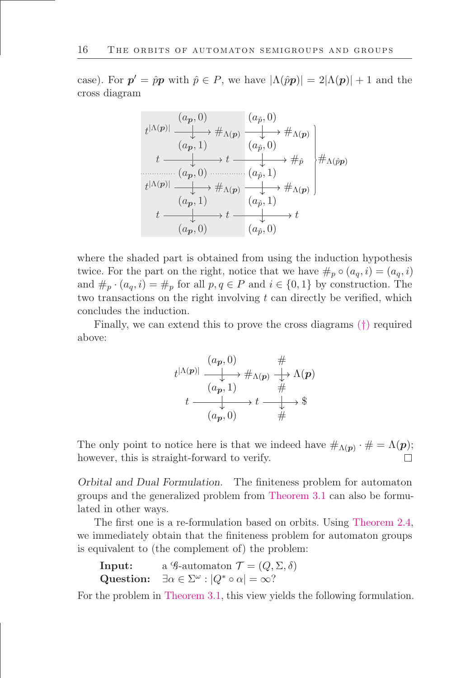case). For  $p' = \hat{p}p$  with  $\hat{p} \in P$ , we have  $|\Lambda(\hat{p}p)| = 2|\Lambda(p)| + 1$  and the cross diagram

$$
t^{|\Lambda(p)|} \xrightarrow{(a_p, 0)} \#_{\Lambda(p)} \xrightarrow{(a_{\hat{p}}, 0)} \#_{\Lambda(p)} \longrightarrow \#_{\Lambda(p)} \rightarrow t \longrightarrow t \longrightarrow t \longrightarrow \#_{\hat{p}} \#_{\Lambda(\hat{p}p)} \rightarrow t \longrightarrow (a_{\hat{p}}, 1) \qquad t^{|\Lambda(p)|} \xrightarrow{(a_p, 1)} \#_{\Lambda(p)} \xrightarrow{(a_{\hat{p}}, 1)} t \longrightarrow t \longrightarrow t \longrightarrow (a_p, 0) \qquad (a_{\hat{p}}, 0) \qquad (a_{\hat{p}}, 0)
$$

where the shaded part is obtained from using the induction hypothesis twice. For the part on the right, notice that we have  $\#_p \circ (a_q, i) = (a_q, i)$ and  $\#_p \cdot (a_q, i) = \#_p$  for all  $p, q \in P$  and  $i \in \{0, 1\}$  by construction. The two transactions on the right involving  $t$  can directly be verified, which concludes the induction.

Finally, we can extend this to prove the cross diagrams ([†](#page-13-0)) required above:

$$
t^{|\Lambda(p)|} \xrightarrow{(a_p, 0)} \qquad \qquad \# \qquad \longrightarrow \pi_{\Lambda(p)} \qquad \longrightarrow \pi_{\Lambda(p)} \qquad \longrightarrow \pi_{\Lambda(p)} \qquad \qquad \longrightarrow \pi_{\Lambda(p)} \qquad \qquad \longrightarrow \pi_{\Lambda(p)} \qquad \qquad \longrightarrow \pi_{\Lambda(p)} \qquad \qquad \longrightarrow \pi_{\Lambda(p)} \qquad \qquad \longrightarrow \pi_{\Lambda(p)} \qquad \qquad \longrightarrow \pi_{\Lambda(p)} \qquad \qquad \longrightarrow \pi_{\Lambda(p)} \qquad \qquad \longrightarrow \pi_{\Lambda(p)} \qquad \qquad \longrightarrow \pi_{\Lambda(p)} \qquad \qquad \longrightarrow \pi_{\Lambda(p)} \qquad \qquad \longrightarrow \pi_{\Lambda(p)} \qquad \qquad \longrightarrow \pi_{\Lambda(p)} \qquad \qquad \longrightarrow \pi_{\Lambda(p)} \qquad \qquad \longrightarrow \pi_{\Lambda(p)} \qquad \qquad \longrightarrow \pi_{\Lambda(p)} \qquad \qquad \longrightarrow \pi_{\Lambda(p)} \qquad \qquad \longrightarrow \pi_{\Lambda(p)} \qquad \qquad \longrightarrow \pi_{\Lambda(p)} \qquad \qquad \longrightarrow \pi_{\Lambda(p)} \qquad \qquad \longrightarrow \pi_{\Lambda(p)} \qquad \qquad \longrightarrow \pi_{\Lambda(p)} \qquad \qquad \longrightarrow \pi_{\Lambda(p)} \qquad \qquad \longrightarrow \pi_{\Lambda(p)} \qquad \qquad \longrightarrow \pi_{\Lambda(p)} \qquad \qquad \longrightarrow \pi_{\Lambda(p)} \qquad \qquad \longrightarrow \pi_{\Lambda(p)} \qquad \qquad \longrightarrow \pi_{\Lambda(p)} \qquad \qquad \longrightarrow \pi_{\Lambda(p)} \qquad \qquad \longrightarrow \pi_{\Lambda(p)} \qquad \qquad \longrightarrow \pi_{\Lambda(p)} \qquad \qquad \longrightarrow \pi_{\Lambda(p)} \qquad \qquad \longrightarrow \pi_{\Lambda(p)} \qquad \qquad \longrightarrow \pi_{\Lambda(p)} \qquad \qquad \longrightarrow \pi_{\Lambda(p)} \qquad \qquad \longrightarrow \pi_{\Lambda(p)} \qquad \qquad \longrightarrow \pi_{\Lambda(p)} \qquad \qquad \longrightarrow \pi_{\Lambda(p)} \qquad \qquad \longrightarrow \pi_{\Lambda(p)} \qquad \qquad \longrightarrow \pi_{\Lambda(p)} \qquad \qquad \longrightarrow \pi_{\Lambda(p)} \qquad \qquad \longrightarrow \pi_{\Lambda(p)} \qquad \qquad \longrightarrow \pi_{\Lambda(p)} \qquad \qquad \longrightarrow \pi_{\Lambda(p)} \qquad \qquad \longrightarrow \pi_{\Lambda(p)} \qquad \qquad \longrightarrow \pi_{\Lambda(p)} \qquad \qquad \longrightarrow \pi_{\Lambda(p)} \qquad \qquad \longrightarrow
$$

The only point to notice here is that we indeed have  $\#_{\Lambda(p)} \cdot \# = \Lambda(p)$ ; however, this is straight-forward to verify. П

Orbital and Dual Formulation. The őniteness problem for automaton groups and the generalized problem from [Theorem 3.1](#page-11-0) can also be formulated in other ways.

The first one is a re-formulation based on orbits. Using [Theorem 2.4,](#page-9-0) we immediately obtain that the finiteness problem for automaton groups is equivalent to (the complement of) the problem:

**Input:** a 
$$
\mathcal{G}
$$
-automaton  $\mathcal{T} = (Q, \Sigma, \delta)$   
**Question:**  $\exists \alpha \in \Sigma^{\omega} : |Q^* \circ \alpha| = \infty$ ?

For the problem in [Theorem 3.1,](#page-11-0) this view yields the following formulation.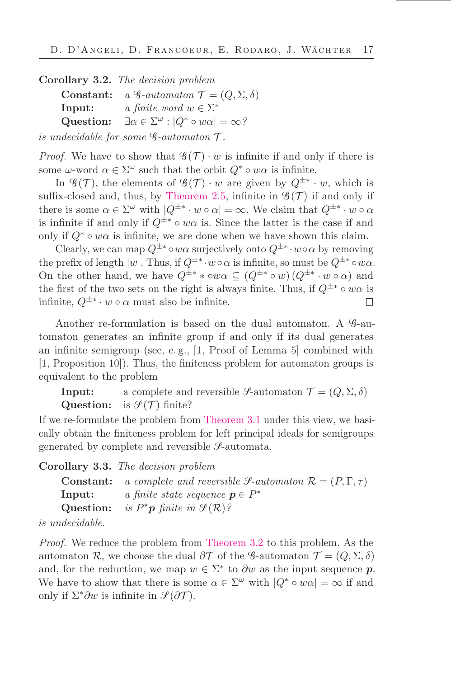<span id="page-16-0"></span>Corollary 3.2. The decision problem Constant:  $a \mathcal{G}\text{-}automaton \mathcal{T} = (Q, \Sigma, \delta)$ **Input:**  $a \text{ finite word } w \in \Sigma^*$ Question:  $\omega$  :  $|Q^* \circ w\alpha| = \infty$ ?

is undecidable for some  $\mathscr{G}\text{-}automaton$   $\mathscr{T}\text{.}$ 

*Proof.* We have to show that  $\mathscr{G}(\mathcal{T}) \cdot w$  is infinite if and only if there is some  $\omega$ -word  $\alpha \in \Sigma^{\omega}$  such that the orbit  $Q^* \circ w\alpha$  is infinite.

In  $\mathscr{G}(\mathcal{T})$ , the elements of  $\mathscr{G}(\mathcal{T}) \cdot w$  are given by  $Q^{\pm *} \cdot w$ , which is suffix-closed and, thus, by [Theorem 2.5,](#page-9-1) infinite in  $\mathscr{G}(\mathcal{T})$  if and only if there is some  $\alpha \in \Sigma^{\omega}$  with  $|Q^{\pm *} \cdot w \circ \alpha| = \infty$ . We claim that  $Q^{\pm *} \cdot w \circ \alpha$ is infinite if and only if  $Q^{\pm*} \circ w\alpha$  is. Since the latter is the case if and only if  $Q^* \circ w\alpha$  is infinite, we are done when we have shown this claim.

Clearly, we can map  $Q^{\pm *} \circ w\alpha$  surjectively onto  $Q^{\pm *} \cdot w \circ \alpha$  by removing the prefix of length  $|w|$ . Thus, if  $Q^{\pm *} \cdot w \circ \alpha$  is infinite, so must be  $Q^{\pm *} \circ w \alpha$ . On the other hand, we have  $Q^{\pm *} * \circ w\alpha \subseteq (Q^{\pm *} \circ w)(Q^{\pm *} \cdot w \circ \alpha)$  and the first of the two sets on the right is always finite. Thus, if  $Q^{\pm*} \circ w\alpha$  is infinite,  $Q^{\pm *} \cdot w \circ \alpha$  must also be infinite. П

Another re-formulation is based on the dual automaton. A  $9$ -automaton generates an inőnite group if and only if its dual generates an infinite semigroup (see, e.g.,  $[1, \text{Proof of Lemma } 5]$  combined with [1, Proposition 10]). Thus, the őniteness problem for automaton groups is equivalent to the problem

**Input:** a complete and reversible  $\mathcal{S}$ -automaton  $\mathcal{T} = (Q, \Sigma, \delta)$ **Question:** is  $\mathcal{I}(\mathcal{T})$  finite?

If we re-formulate the problem from [Theorem 3.1](#page-11-0) under this view, we basically obtain the őniteness problem for left principal ideals for semigroups generated by complete and reversible  $\mathcal{S}\text{-automata.}$ 

Corollary 3.3. The decision problem

| <b>Constant:</b> a complete and reversible <i>S</i> -automaton $\mathcal{R} = (P, \Gamma, \tau)$ |
|--------------------------------------------------------------------------------------------------|
| a finite state sequence $p \in P^*$                                                              |
| Question: is $P^*p$ finite in $\mathcal{S}(\mathcal{R})$ ?                                       |
|                                                                                                  |

is undecidable.

Proof. We reduce the problem from [Theorem 3.2](#page-16-0) to this problem. As the automaton R, we choose the dual  $\partial \mathcal{T}$  of the G-automaton  $\mathcal{T} = (Q, \Sigma, \delta)$ and, for the reduction, we map  $w \in \Sigma^*$  to  $\partial w$  as the input sequence  $p$ . We have to show that there is some  $\alpha \in \Sigma^{\omega}$  with  $|Q^* \circ w\alpha| = \infty$  if and only if  $\Sigma^*\partial w$  is infinite in  $\mathscr{S}(\partial \mathcal{T})$ .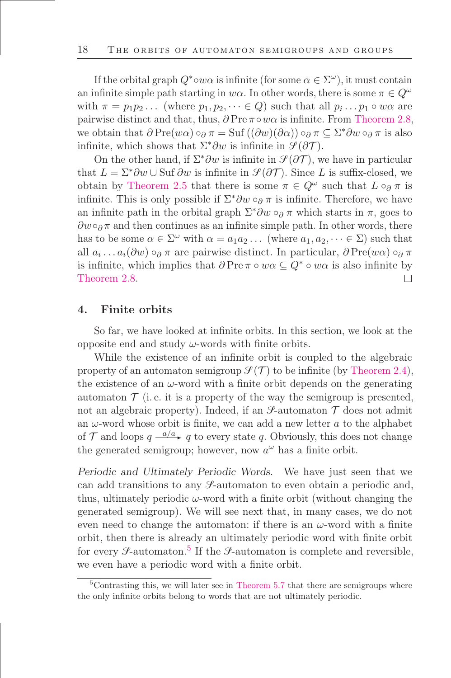If the orbital graph  $Q^* \circ w\alpha$  is infinite (for some  $\alpha \in \Sigma^\omega$ ), it must contain an infinite simple path starting in  $w\alpha$ . In other words, there is some  $\pi \in Q^{\omega}$ with  $\pi = p_1 p_2 ...$  (where  $p_1, p_2, ... \in Q$ ) such that all  $p_i ... p_1 \circ w\alpha$  are pairwise distinct and that, thus,  $\partial \text{Pre } \pi \circ w\alpha$  is infinite. From [Theorem 2.8,](#page-10-2) we obtain that  $\partial \text{Pre}(w\alpha) \circ_{\partial} \pi = \text{Suf}((\partial w)(\partial \alpha)) \circ_{\partial} \pi \subseteq \Sigma^* \partial w \circ_{\partial} \pi$  is also infinite, which shows that  $\Sigma^*\partial w$  is infinite in  $\mathcal{S}(\partial \mathcal{T})$ .

On the other hand, if  $\Sigma^*\partial w$  is infinite in  $\mathcal{S}(\partial \mathcal{T})$ , we have in particular that  $L = \Sigma^* \partial w \cup S \cup \partial w$  is infinite in  $\mathcal{S}(\partial \mathcal{T})$ . Since L is suffix-closed, we obtain by [Theorem 2.5](#page-9-1) that there is some  $\pi \in Q^{\omega}$  such that  $L \circ_{\partial} \pi$  is infinite. This is only possible if  $\Sigma^*\partial w \circ_\partial \pi$  is infinite. Therefore, we have an infinite path in the orbital graph  $\Sigma^*\partial w \circ_\partial \pi$  which starts in  $\pi$ , goes to  $\partial w \circ_{\partial} \pi$  and then continues as an infinite simple path. In other words, there has to be some  $\alpha \in \Sigma^{\omega}$  with  $\alpha = a_1 a_2 \dots$  (where  $a_1, a_2, \dots \in \Sigma$ ) such that all  $a_i \dots a_i(\partial w) \circ_{\partial} \pi$  are pairwise distinct. In particular,  $\partial \text{Pre}(w\alpha) \circ_{\partial} \pi$ is infinite, which implies that  $\partial \text{Pre } \pi \circ w\alpha \subseteq Q^* \circ w\alpha$  is also infinite by [Theorem 2.8.](#page-10-2)  $\Box$ 

### 4. Finite orbits

So far, we have looked at inőnite orbits. In this section, we look at the opposite end and study  $\omega$ -words with finite orbits.

While the existence of an inőnite orbit is coupled to the algebraic property of an automaton semigroup  $\mathcal{S}(\mathcal{T})$  to be infinite (by [Theorem 2.4\)](#page-9-0), the existence of an  $\omega$ -word with a finite orbit depends on the generating automaton  $\mathcal T$  (i.e. it is a property of the way the semigroup is presented, not an algebraic property). Indeed, if an  $\mathcal{S}\text{-automaton }\mathcal{T}$  does not admit an  $\omega$ -word whose orbit is finite, we can add a new letter a to the alphabet of  $\mathcal T$  and loops  $q \stackrel{a/a}{\longrightarrow} q$  to every state q. Obviously, this does not change the generated semigroup; however, now  $a^{\omega}$  has a finite orbit.

Periodic and Ultimately Periodic Words. We have just seen that we can add transitions to any  $\mathcal{S}_{\text{-}}$ -automaton to even obtain a periodic and, thus, ultimately periodic  $\omega$ -word with a finite orbit (without changing the generated semigroup). We will see next that, in many cases, we do not even need to change the automaton: if there is an  $\omega$ -word with a finite orbit, then there is already an ultimately periodic word with őnite orbit for every  $\mathcal{S}\text{-automaton.}$ <sup>5</sup> If the  $\mathcal{S}\text{-automaton}$  is complete and reversible, we even have a periodic word with a finite orbit.

 $5$ Contrasting this, we will later see in [Theorem 5.7](#page-25-0) that there are semigroups where the only inőnite orbits belong to words that are not ultimately periodic.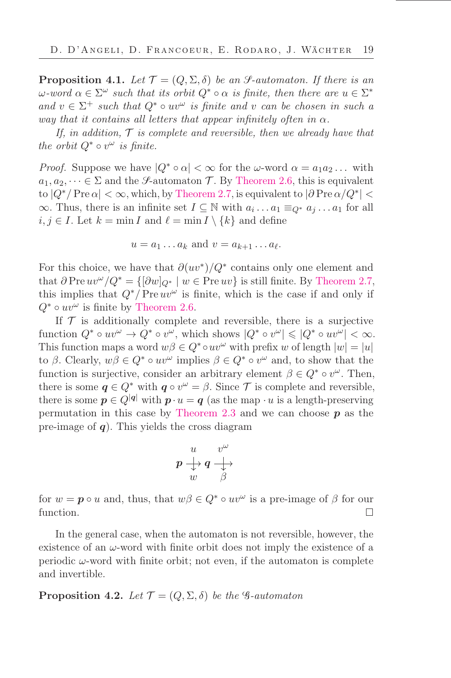<span id="page-18-0"></span>**Proposition 4.1.** Let  $\mathcal{T} = (Q, \Sigma, \delta)$  be an *S*-automaton. If there is an  $\omega$ -word  $\alpha \in \Sigma^{\omega}$  such that its orbit  $Q^* \circ \alpha$  is finite, then there are  $u \in \Sigma^*$ and  $v \in \Sigma^+$  such that  $Q^* \circ uv^\omega$  is finite and v can be chosen in such a way that it contains all letters that appear infinitely often in  $\alpha$ .

If, in addition,  $\mathcal T$  is complete and reversible, then we already have that the orbit  $Q^* \circ v^{\omega}$  is finite.

*Proof.* Suppose we have  $|Q^* \circ \alpha| < \infty$  for the  $\omega$ -word  $\alpha = a_1 a_2 \dots$  with  $a_1, a_2, \dots \in \Sigma$  and the *S*-automaton T. By [Theorem 2.6,](#page-10-1) this is equivalent to  $|Q^*/\operatorname{Pre}\alpha| < \infty$ , which, by [Theorem 2.7,](#page-10-0) is equivalent to  $|\partial\operatorname{Pre}\alpha/Q^*| <$  $\infty$ . Thus, there is an infinite set  $I \subseteq \mathbb{N}$  with  $a_i \dots a_1 \equiv_{Q^*} a_j \dots a_1$  for all  $i, j \in I$ . Let  $k = \min I$  and  $\ell = \min I \setminus \{k\}$  and define

$$
u = a_1 \dots a_k \text{ and } v = a_{k+1} \dots a_{\ell}.
$$

For this choice, we have that  $\partial(uv^*)/Q^*$  contains only one element and that  $\partial \text{Pre } uv^{\omega}/Q^* = {\{\partial w\}_Q^* \mid w \in \text{Pre } uv\}}$  is still finite. By [Theorem 2.7,](#page-10-0) this implies that  $Q^*/\text{Pre } uv^\omega$  is finite, which is the case if and only if  $Q^* \circ uv^\omega$  is finite by [Theorem 2.6.](#page-10-1)

If  $\mathcal T$  is additionally complete and reversible, there is a surjective function  $Q^* \circ uv^{\omega} \to Q^* \circ v^{\omega}$ , which shows  $|Q^* \circ v^{\omega}| \leq |Q^* \circ uv^{\omega}| < \infty$ . This function maps a word  $w\beta \in Q^* \circ uv^\omega$  with prefix w of length  $|w| = |u|$ to  $\beta$ . Clearly,  $w\beta \in Q^* \circ uv^{\omega}$  implies  $\beta \in Q^* \circ v^{\omega}$  and, to show that the function is surjective, consider an arbitrary element  $\beta \in Q^* \circ v^{\omega}$ . Then, there is some  $q \in Q^*$  with  $q \circ v^{\omega} = \beta$ . Since  $\mathcal T$  is complete and reversible, there is some  $p \in Q^{|q|}$  with  $p \cdot u = q$  (as the map  $\cdot u$  is a length-preserving permutation in this case by [Theorem 2.3](#page-9-2) and we can choose  $p$  as the pre-image of  $q$ ). This yields the cross diagram

$$
\begin{array}{ccc}\n u & v^{\omega} \\
 p & \downarrow \\
 w & \beta\n\end{array}
$$

for  $w = \mathbf{p} \circ u$  and, thus, that  $w\beta \in Q^* \circ uv^{\omega}$  is a pre-image of  $\beta$  for our function.  $\Box$ 

In the general case, when the automaton is not reversible, however, the existence of an  $\omega$ -word with finite orbit does not imply the existence of a periodic  $\omega$ -word with finite orbit; not even, if the automaton is complete and invertible.

**Proposition 4.2.** Let  $\mathcal{T} = (Q, \Sigma, \delta)$  be the G-automaton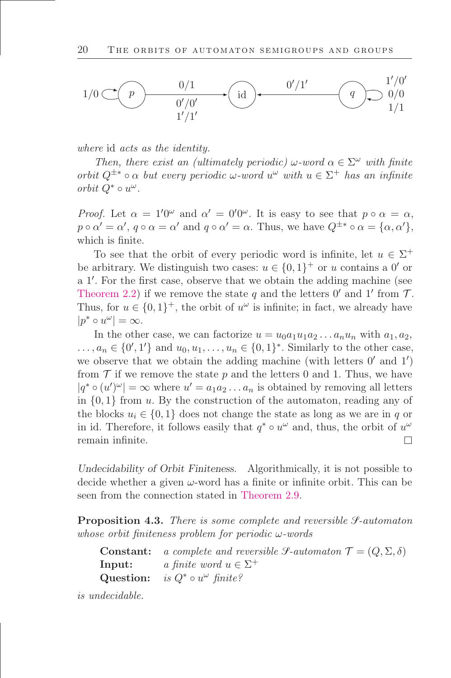

where id acts as the identity.

Then, there exist an (ultimately periodic)  $\omega$ -word  $\alpha \in \Sigma^{\omega}$  with finite orbit  $Q^{\pm *} \circ \alpha$  but every periodic  $\omega$ -word  $u^{\omega}$  with  $u \in \Sigma^+$  has an infinite orbit  $Q^* \circ u^\omega$ .

*Proof.* Let  $\alpha = 1'0^{\omega}$  and  $\alpha' = 0'0^{\omega}$ . It is easy to see that  $p \circ \alpha = \alpha$ ,  $p \circ \alpha' = \alpha'$ ,  $q \circ \alpha = \alpha'$  and  $q \circ \alpha' = \alpha$ . Thus, we have  $Q^{\pm *} \circ \alpha = \{\alpha, \alpha'\},$ which is finite.

To see that the orbit of every periodic word is infinite, let  $u \in \Sigma^+$ be arbitrary. We distinguish two cases:  $u \in \{0,1\}^+$  or u contains a 0' or a 1 ′ . For the őrst case, observe that we obtain the adding machine (see [Theorem 2.2\)](#page-7-0) if we remove the state q and the letters  $0'$  and  $1'$  from  $\mathcal{T}$ . Thus, for  $u \in \{0,1\}^+$ , the orbit of  $u^{\omega}$  is infinite; in fact, we already have  $|p^* \circ u^{\omega}| = \infty.$ 

In the other case, we can factorize  $u = u_0 a_1 u_1 a_2 \dots a_n u_n$  with  $a_1, a_2$ ,  $\ldots, a_n \in \{0', 1'\}$  and  $u_0, u_1, \ldots, u_n \in \{0, 1\}^*$ . Similarly to the other case, we observe that we obtain the adding machine (with letters  $0'$  and  $1'$ ) from  $\mathcal T$  if we remove the state p and the letters 0 and 1. Thus, we have  $|q^* \circ (u')^{\omega}| = \infty$  where  $u' = a_1 a_2 ... a_n$  is obtained by removing all letters in  $\{0,1\}$  from u. By the construction of the automaton, reading any of the blocks  $u_i \in \{0,1\}$  does not change the state as long as we are in q or in id. Therefore, it follows easily that  $q^* \circ u^{\omega}$  and, thus, the orbit of  $u^{\omega}$ remain inőnite.  $\Box$ 

Undecidability of Orbit Finiteness. Algorithmically, it is not possible to decide whether a given  $\omega$ -word has a finite or infinite orbit. This can be seen from the connection stated in [Theorem 2.9.](#page-11-1)

**Proposition 4.3.** There is some complete and reversible  $\mathcal{S}\text{-}automaton$ whose orbit finiteness problem for periodic  $\omega$ -words

| <b>Constant:</b> a complete and reversible <i>J</i> -automaton $\mathcal{T} = (Q, \Sigma, \delta)$ |
|----------------------------------------------------------------------------------------------------|
| <b>Input:</b> a finite word $u \in \Sigma^+$                                                       |
| Question: is $Q^* \circ u^{\omega}$ finite?                                                        |

is undecidable.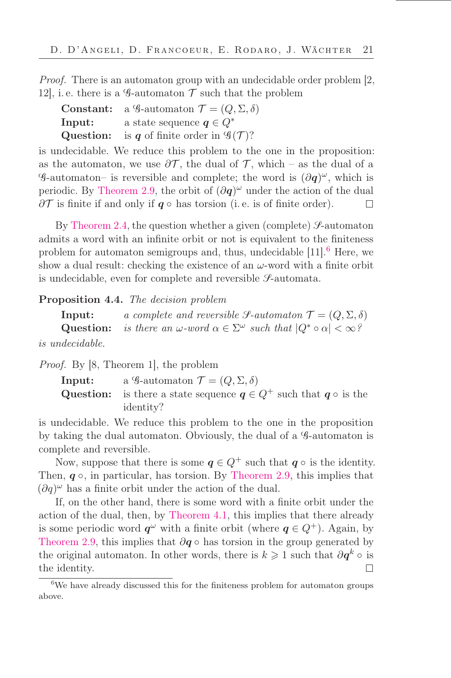Proof. There is an automaton group with an undecidable order problem [2, 12, i.e. there is a  $\mathscr G$ -automaton  $\mathscr T$  such that the problem

|        | <b>Constant:</b> a 9-automaton $\mathcal{T} = (Q, \Sigma, \delta)$           |
|--------|------------------------------------------------------------------------------|
| Input: | a state sequence $q \in Q^*$                                                 |
|        | <b>Question:</b> is <i>q</i> of finite order in $\mathcal{G}(\mathcal{T})$ ? |

is undecidable. We reduce this problem to the one in the proposition: as the automaton, we use  $\partial \mathcal{T}$ , the dual of  $\mathcal{T}$ , which – as the dual of a  $\mathscr{G}\text{-automaton-}$  is reversible and complete; the word is  $(\partial q)^{\omega}$ , which is periodic. By [Theorem 2.9,](#page-11-1) the orbit of  $(\partial q)^{\omega}$  under the action of the dual  $\partial \mathcal{T}$  is finite if and only if  $q \circ$  has torsion (i.e. is of finite order).  $\Box$ 

By [Theorem 2.4,](#page-9-0) the question whether a given (complete)  $\mathscr{S}\text{-automaton}$ admits a word with an infinite orbit or not is equivalent to the finiteness problem for automaton semigroups and, thus, undecidable  $[11]$ .<sup>6</sup> Here, we show a dual result: checking the existence of an  $\omega$ -word with a finite orbit is undecidable, even for complete and reversible  $\mathcal{S}\text{-automata.}$ 

#### Proposition 4.4. The decision problem

**Input:** a complete and reversible  $\mathcal{S}\text{-}automaton \mathcal{T} = (Q, \Sigma, \delta)$ Question: is there an  $\omega$ -word  $\alpha \in \Sigma^{\omega}$  such that  $|Q^* \circ \alpha| < \infty$ ? is undecidable.

Proof. By [8, Theorem 1], the problem

**Input:** a G-automaton  $\mathcal{T} = (Q, \Sigma, \delta)$ Question: is there a state sequence  $q \in Q^+$  such that  $q \circ$  is the identity?

is undecidable. We reduce this problem to the one in the proposition by taking the dual automaton. Obviously, the dual of a G-automaton is complete and reversible.

Now, suppose that there is some  $q \in Q^+$  such that  $q \circ$  is the identity. Then,  $q \circ$ , in particular, has torsion. By [Theorem 2.9,](#page-11-1) this implies that  $(\partial q)^\omega$  has a finite orbit under the action of the dual.

If, on the other hand, there is some word with a finite orbit under the action of the dual, then, by [Theorem 4.1,](#page-18-0) this implies that there already is some periodic word  $q^{\omega}$  with a finite orbit (where  $q \in Q^+$ ). Again, by [Theorem 2.9,](#page-11-1) this implies that  $\partial q \circ$  has torsion in the group generated by the original automaton. In other words, there is  $k \geqslant 1$  such that  $\partial q^k \circ$  is the identity. П

<sup>&</sup>lt;sup>6</sup>We have already discussed this for the finiteness problem for automaton groups above.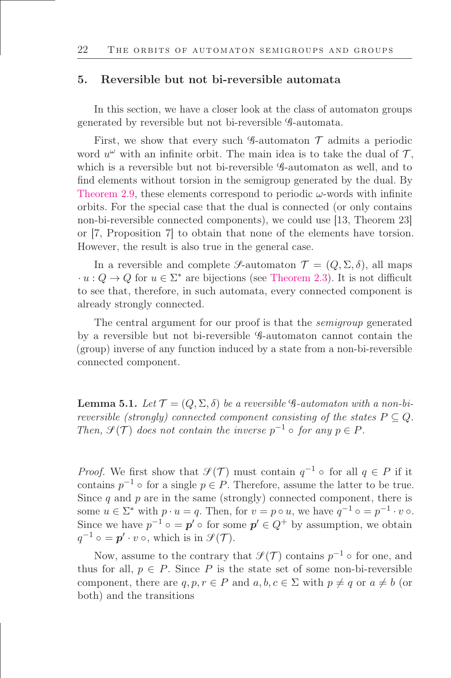#### 5. Reversible but not bi-reversible automata

In this section, we have a closer look at the class of automaton groups generated by reversible but not bi-reversible G-automata.

First, we show that every such  $\mathscr G$ -automaton  $\mathscr T$  admits a periodic word  $u^{\omega}$  with an infinite orbit. The main idea is to take the dual of  $\mathcal{T},$ which is a reversible but not bi-reversible  $\mathscr{G}\text{-}$  automaton as well, and to find elements without torsion in the semigroup generated by the dual. By [Theorem 2.9,](#page-11-1) these elements correspond to periodic  $\omega$ -words with infinite orbits. For the special case that the dual is connected (or only contains non-bi-reversible connected components), we could use [13, Theorem 23] or [7, Proposition 7] to obtain that none of the elements have torsion. However, the result is also true in the general case.

In a reversible and complete S-automaton  $\mathcal{T} = (Q, \Sigma, \delta)$ , all maps  $u: Q \to Q$  for  $u \in \Sigma^*$  are bijections (see [Theorem 2.3\)](#page-9-2). It is not difficult to see that, therefore, in such automata, every connected component is already strongly connected.

The central argument for our proof is that the semigroup generated by a reversible but not bi-reversible G-automaton cannot contain the (group) inverse of any function induced by a state from a non-bi-reversible connected component.

<span id="page-21-0"></span>**Lemma 5.1.** Let  $\mathcal{T} = (Q, \Sigma, \delta)$  be a reversible  $\mathcal{G}\text{-}automaton$  with a non-bireversible (strongly) connected component consisting of the states  $P \subseteq Q$ . Then,  $\mathcal{F}(\mathcal{T})$  does not contain the inverse  $p^{-1} \circ$  for any  $p \in P$ .

*Proof.* We first show that  $\mathcal{I}(\mathcal{T})$  must contain  $q^{-1} \circ$  for all  $q \in P$  if it contains  $p^{-1} \circ$  for a single  $p \in P$ . Therefore, assume the latter to be true. Since q and  $p$  are in the same (strongly) connected component, there is some  $u \in \Sigma^*$  with  $p \cdot u = q$ . Then, for  $v = p \circ u$ , we have  $q^{-1} \circ p^{-1} \cdot v \circ$ . Since we have  $p^{-1} \circ = p' \circ$  for some  $p' \in Q^+$  by assumption, we obtain  $q^{-1} \circ = \boldsymbol{p}' \cdot v \circ$ , which is in  $\mathcal{S}(\mathcal{T})$ .

Now, assume to the contrary that  $\mathcal{S}(\mathcal{T})$  contains  $p^{-1} \circ$  for one, and thus for all,  $p \in P$ . Since P is the state set of some non-bi-reversible component, there are  $q, p, r \in P$  and  $a, b, c \in \Sigma$  with  $p \neq q$  or  $a \neq b$  (or both) and the transitions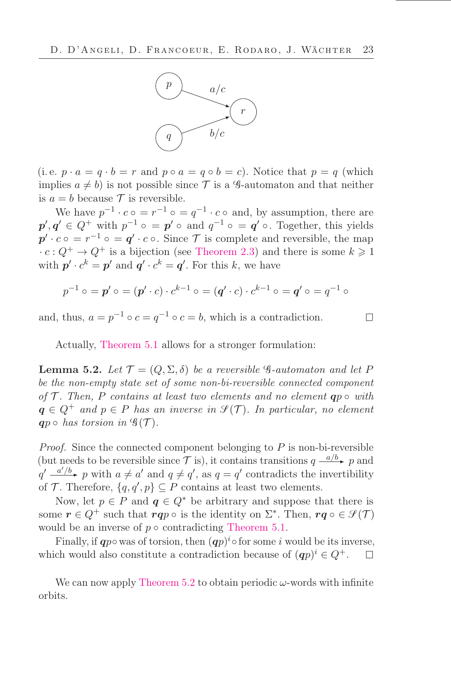

(i.e.  $p \cdot a = q \cdot b = r$  and  $p \circ a = q \circ b = c$ ). Notice that  $p = q$  (which implies  $a \neq b$ ) is not possible since  $\mathcal T$  is a G-automaton and that neither is  $a = b$  because  $\mathcal T$  is reversible.

We have  $p^{-1} \cdot c \circ = r^{-1} \circ = q^{-1} \cdot c \circ$  and, by assumption, there are  $p', q' \in Q^+$  with  $p^{-1} \circ = p' \circ$  and  $q^{-1} \circ = q' \circ$ . Together, this yields  $p' \cdot c \circ = r^{-1} \circ = q' \cdot c \circ$ . Since T is complete and reversible, the map  $\cdot c: Q^+ \to Q^+$  is a bijection (see [Theorem 2.3\)](#page-9-2) and there is some  $k \geq 1$ with  $p' \cdot c^k = p'$  and  $q' \cdot c^k = q'$ . For this k, we have

$$
p^{-1} \circ = p' \circ = (p' \cdot c) \cdot c^{k-1} \circ = (q' \cdot c) \cdot c^{k-1} \circ = q' \circ = q^{-1} \circ
$$

and, thus,  $a = p^{-1} \circ c = q^{-1} \circ c = b$ , which is a contradiction.

 $\Box$ 

Actually, [Theorem 5.1](#page-21-0) allows for a stronger formulation:

<span id="page-22-0"></span>**Lemma 5.2.** Let  $\mathcal{T} = (Q, \Sigma, \delta)$  be a reversible  $\mathcal{G}\text{-}automaton$  and let P be the non-empty state set of some non-bi-reversible connected component of  $\mathcal T$ . Then, P contains at least two elements and no element  $\mathbf q p \circ \text{ with}$  $q \in Q^+$  and  $p \in P$  has an inverse in  $\mathcal{I}(\mathcal{T})$ . In particular, no element qp  $\circ$  has torsion in  $\mathscr{G}(\mathcal{T})$ .

*Proof.* Since the connected component belonging to  $P$  is non-bi-reversible (but needs to be reversible since  $\mathcal T$  is), it contains transitions  $q \xrightarrow{a/b} p$  and  $q' \stackrel{a'/b}{\longrightarrow} p$  with  $a \neq a'$  and  $q \neq q'$ , as  $q = q'$  contradicts the invertibility of T. Therefore,  $\{q, q', p\} \subseteq P$  contains at least two elements.

Now, let  $p \in P$  and  $q \in Q^*$  be arbitrary and suppose that there is some  $r \in Q^+$  such that  $rqp \circ$  is the identity on  $\Sigma^*$ . Then,  $rq \circ \in \mathcal{S}(\mathcal{T})$ would be an inverse of  $p \circ$  contradicting [Theorem 5.1.](#page-21-0)

Finally, if  $qp \circ$  was of torsion, then  $(qp)^i \circ$  for some i would be its inverse, which would also constitute a contradiction because of  $(qp)^i \in Q^+$ .  $\Box$ 

We can now apply [Theorem 5.2](#page-22-0) to obtain periodic  $\omega$ -words with infinite orbits.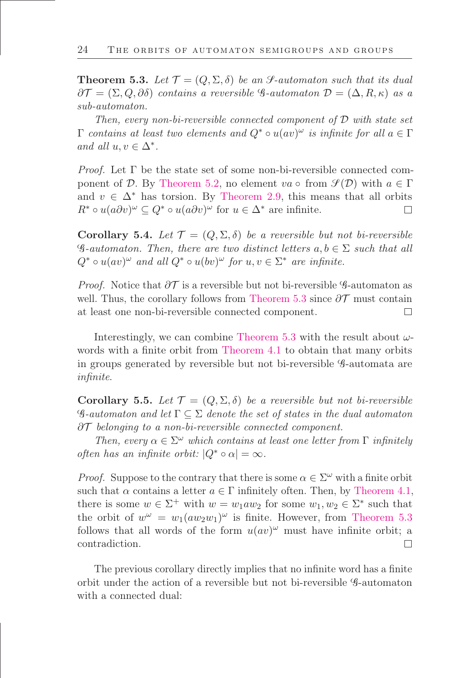<span id="page-23-0"></span>**Theorem 5.3.** Let  $\mathcal{T} = (Q, \Sigma, \delta)$  be an S-automaton such that its dual  $\partial \mathcal{T} = (\Sigma, Q, \partial \delta)$  contains a reversible G-automaton  $\mathcal{D} = (\Delta, R, \kappa)$  as a sub-automaton.

Then, every non-bi-reversible connected component of  $\mathcal D$  with state set  $\Gamma$  contains at least two elements and  $Q^* \circ u(av)^\omega$  is infinite for all  $a \in \Gamma$ and all  $u, v \in \Delta^*$ .

*Proof.* Let  $\Gamma$  be the state set of some non-bi-reversible connected com-ponent of D. By [Theorem 5.2,](#page-22-0) no element  $va \circ \text{ from } \mathcal{S}(\mathcal{D})$  with  $a \in \Gamma$ and  $v \in \Delta^*$  has torsion. By [Theorem 2.9,](#page-11-1) this means that all orbits  $R^* \circ u(a\partial v)^{\omega} \subseteq Q^* \circ u(a\partial v)^{\omega}$  for  $u \in \Delta^*$  are infinite.  $\Box$ 

Corollary 5.4. Let  $\mathcal{T} = (Q, \Sigma, \delta)$  be a reversible but not bi-reversible  $\mathscr{G}\text{-}automaton.$  Then, there are two distinct letters  $a, b \in \Sigma$  such that all  $Q^* \circ u(av)^\omega$  and all  $Q^* \circ u(bv)^\omega$  for  $u, v \in \Sigma^*$  are infinite.

*Proof.* Notice that  $\partial \mathcal{T}$  is a reversible but not bi-reversible G-automaton as well. Thus, the corollary follows from [Theorem 5.3](#page-23-0) since  $\partial \mathcal{T}$  must contain at least one non-bi-reversible connected component.  $\Box$ 

Interestingly, we can combine [Theorem 5.3](#page-23-0) with the result about  $\omega$ -words with a finite orbit from [Theorem 4.1](#page-18-0) to obtain that many orbits in groups generated by reversible but not bi-reversible G-automata are inőnite.

<span id="page-23-1"></span>Corollary 5.5. Let  $\mathcal{T} = (Q, \Sigma, \delta)$  be a reversible but not bi-reversible  $\mathscr{G}\text{-}automaton$  and let  $\Gamma \subseteq \Sigma$  denote the set of states in the dual automaton ∂T belonging to a non-bi-reversible connected component.

Then, every  $\alpha \in \Sigma^{\omega}$  which contains at least one letter from  $\Gamma$  infinitely often has an infinite orbit:  $|Q^* \circ \alpha| = \infty$ .

*Proof.* Suppose to the contrary that there is some  $\alpha \in \Sigma^{\omega}$  with a finite orbit such that  $\alpha$  contains a letter  $a \in \Gamma$  infinitely often. Then, by [Theorem 4.1,](#page-18-0) there is some  $w \in \Sigma^+$  with  $w = w_1 a w_2$  for some  $w_1, w_2 \in \Sigma^*$  such that the orbit of  $w^{\omega} = w_1(aw_2w_1)^{\omega}$  is finite. However, from [Theorem 5.3](#page-23-0) follows that all words of the form  $u(av)^\omega$  must have infinite orbit; a contradiction.  $\Box$ 

The previous corollary directly implies that no infinite word has a finite orbit under the action of a reversible but not bi-reversible G-automaton with a connected dual: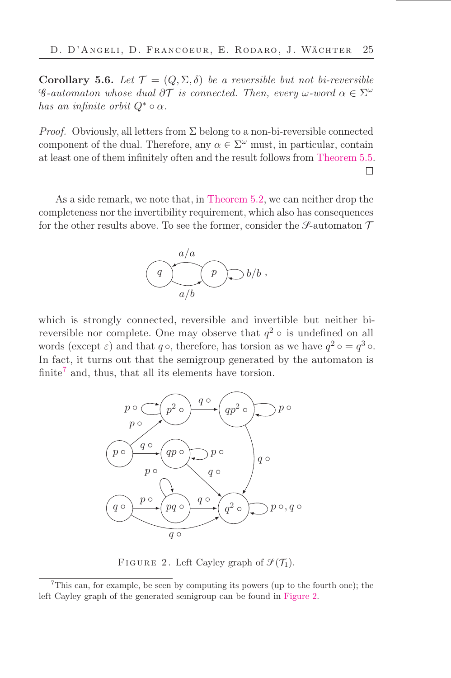Corollary 5.6. Let  $\mathcal{T} = (Q, \Sigma, \delta)$  be a reversible but not bi-reversible  $\mathscr{G}\text{-}automaton$  whose dual  $\partial\mathcal{T}$  is connected. Then, every  $\omega\text{-}word \alpha \in \Sigma^{\omega}$ has an infinite orbit  $Q^* \circ \alpha$ .

*Proof.* Obviously, all letters from  $\Sigma$  belong to a non-bi-reversible connected component of the dual. Therefore, any  $\alpha \in \Sigma^{\omega}$  must, in particular, contain at least one of them inőnitely often and the result follows from [Theorem 5.5.](#page-23-1)  $\Box$ 

As a side remark, we note that, in [Theorem 5.2,](#page-22-0) we can neither drop the completeness nor the invertibility requirement, which also has consequences for the other results above. To see the former, consider the *S*-automaton  $\mathcal T$ 



which is strongly connected, reversible and invertible but neither bireversible nor complete. One may observe that  $q^2 \circ$  is undefined on all words (except  $\varepsilon$ ) and that  $q \circ$ , therefore, has torsion as we have  $q^2 \circ q^3 \circ$ . In fact, it turns out that the semigroup generated by the automaton is finite<sup>7</sup> and, thus, that all its elements have torsion.



<span id="page-24-0"></span>FIGURE 2. Left Cayley graph of  $\mathcal{S}(\mathcal{T}_1)$ .

<sup>7</sup>This can, for example, be seen by computing its powers (up to the fourth one); the left Cayley graph of the generated semigroup can be found in [Figure 2.](#page-24-0)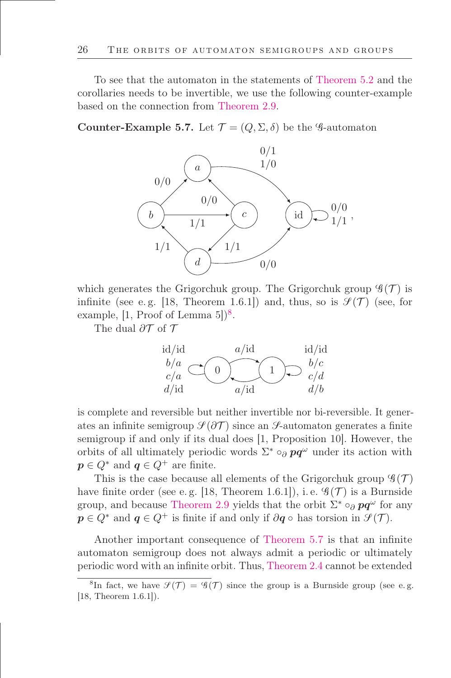To see that the automaton in the statements of [Theorem 5.2](#page-22-0) and the corollaries needs to be invertible, we use the following counter-example based on the connection from [Theorem 2.9.](#page-11-1)

<span id="page-25-0"></span>Counter-Example 5.7. Let  $\mathcal{T} = (Q, \Sigma, \delta)$  be the G-automaton



which generates the Grigorchuk group. The Grigorchuk group  $\mathscr{G}(\mathcal{T})$  is infinite (see e.g. [18, Theorem 1.6.1]) and, thus, so is  $\mathcal{S}(\mathcal{T})$  (see, for example,  $[1, \text{Proof of Lemma } 5])^8$ .

The dual  $\partial \mathcal{T}$  of  $\mathcal{T}$ 



is complete and reversible but neither invertible nor bi-reversible. It generates an infinite semigroup  $\mathcal{I}(\partial \mathcal{T})$  since an  $\mathcal{I}$ -automaton generates a finite semigroup if and only if its dual does [1, Proposition 10]. However, the orbits of all ultimately periodic words  $\Sigma^* \circ_{\partial} \mathbf{p} \mathbf{q}^{\omega}$  under its action with  $p \in Q^*$  and  $q \in Q^+$  are finite.

This is the case because all elements of the Grigorchuk group  $\mathscr{G}(\mathcal{T})$ have finite order (see e.g. [18, Theorem 1.6.1]), i.e.  $\mathscr{G}(\mathcal{T})$  is a Burnside group, and because [Theorem 2.9](#page-11-1) yields that the orbit  $\Sigma^* \circ_{\partial} pq^{\omega}$  for any  $p \in Q^*$  and  $q \in Q^+$  is finite if and only if  $\partial q \circ$  has torsion in  $\mathcal{S}(\mathcal{T})$ .

Another important consequence of [Theorem 5.7](#page-25-0) is that an infinite automaton semigroup does not always admit a periodic or ultimately periodic word with an inőnite orbit. Thus, [Theorem 2.4](#page-9-0) cannot be extended

<sup>&</sup>lt;sup>8</sup>In fact, we have  $\mathcal{S}(\mathcal{T}) = \mathcal{G}(\mathcal{T})$  since the group is a Burnside group (see e.g. [18, Theorem 1.6.1]).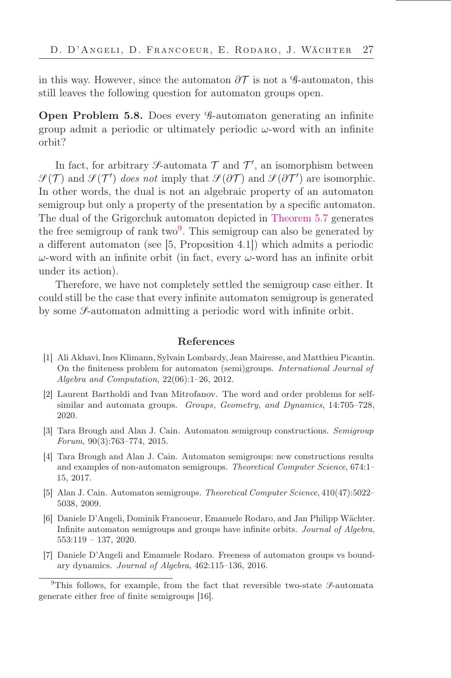in this way. However, since the automaton  $\partial \mathcal{T}$  is not a G-automaton, this still leaves the following question for automaton groups open.

Open Problem 5.8. Does every G-automaton generating an inőnite group admit a periodic or ultimately periodic  $\omega$ -word with an infinite orbit?

In fact, for arbitrary  $\mathcal{S}\text{-automata }\mathcal{T}$  and  $\mathcal{T}'$ , an isomorphism between  $\mathcal{S}(\mathcal{T})$  and  $\mathcal{S}(\mathcal{T}')$  does not imply that  $\mathcal{S}(\partial \mathcal{T})$  and  $\mathcal{S}(\partial \mathcal{T}')$  are isomorphic. In other words, the dual is not an algebraic property of an automaton semigroup but only a property of the presentation by a specific automaton. The dual of the Grigorchuk automaton depicted in [Theorem 5.7](#page-25-0) generates the free semigroup of rank  $two<sup>9</sup>$ . This semigroup can also be generated by a different automaton (see [5, Proposition 4.1]) which admits a periodic ω-word with an infinite orbit (in fact, every ω-word has an infinite orbit under its action).

Therefore, we have not completely settled the semigroup case either. It could still be the case that every inőnite automaton semigroup is generated by some  $\mathcal{S}_-$  automaton admitting a periodic word with infinite orbit.

#### References

- [1] Ali Akhavi, Ines Klimann, Sylvain Lombardy, Jean Mairesse, and Matthieu Picantin. On the őniteness problem for automaton (semi)groups. International Journal of Algebra and Computation,  $22(06):1-26$ ,  $2012$ .
- [2] Laurent Bartholdi and Ivan Mitrofanov. The word and order problems for selfsimilar and automata groups. Groups, Geometry, and Dynamics, 14:705-728, 2020.
- [3] Tara Brough and Alan J. Cain. Automaton semigroup constructions. Semigroup Forum,  $90(3):763-774$ ,  $2015$ .
- [4] Tara Brough and Alan J. Cain. Automaton semigroups: new constructions results and examples of non-automaton semigroups. Theoretical Computer Science, 674:1– 15, 2017.
- [5] Alan J. Cain. Automaton semigroups. Theoretical Computer Science, 410(47):5022-5038, 2009.
- [6] Daniele D'Angeli, Dominik Francoeur, Emanuele Rodaro, and Jan Philipp Wächter. Inőnite automaton semigroups and groups have inőnite orbits. Journal of Algebra,  $553:119 - 137, 2020.$
- [7] Daniele D'Angeli and Emanuele Rodaro. Freeness of automaton groups vs boundary dynamics. Journal of Algebra, 462:115-136, 2016.

<sup>&</sup>lt;sup>9</sup>This follows, for example, from the fact that reversible two-state  $\mathcal{S}\text{-automata}$ generate either free of finite semigroups [16].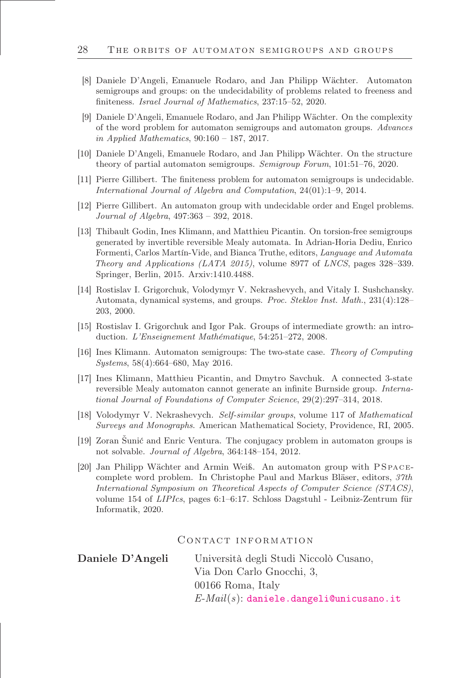- [8] Daniele D'Angeli, Emanuele Rodaro, and Jan Philipp Wächter. Automaton semigroups and groups: on the undecidability of problems related to freeness and finiteness. Israel Journal of Mathematics, 237:15-52, 2020.
- [9] Daniele D'Angeli, Emanuele Rodaro, and Jan Philipp Wächter. On the complexity of the word problem for automaton semigroups and automaton groups. Advances in Applied Mathematics,  $90:160 - 187$ ,  $2017$ .
- [10] Daniele D'Angeli, Emanuele Rodaro, and Jan Philipp Wächter. On the structure theory of partial automaton semigroups. Semigroup Forum, 101:51–76, 2020.
- [11] Pierre Gillibert. The őniteness problem for automaton semigroups is undecidable. International Journal of Algebra and Computation,  $24(01):1-9$ , 2014.
- [12] Pierre Gillibert. An automaton group with undecidable order and Engel problems. Journal of Algebra,  $497:363 - 392$ ,  $2018$ .
- [13] Thibault Godin, Ines Klimann, and Matthieu Picantin. On torsion-free semigroups generated by invertible reversible Mealy automata. In Adrian-Horia Dediu, Enrico Formenti, Carlos Martín-Vide, and Bianca Truthe, editors, Language and Automata Theory and Applications (LATA 2015), volume 8977 of LNCS, pages 328–339. Springer, Berlin, 2015. Arxiv:1410.4488.
- [14] Rostislav I. Grigorchuk, Volodymyr V. Nekrashevych, and Vitaly I. Sushchansky. Automata, dynamical systems, and groups. Proc. Steklov Inst. Math., 231(4):128– 203, 2000.
- [15] Rostislav I. Grigorchuk and Igor Pak. Groups of intermediate growth: an introduction. L'Enseignement Mathématique, 54:251-272, 2008.
- [16] Ines Klimann. Automaton semigroups: The two-state case. Theory of Computing  $Systems, 58(4):664–680, May 2016.$
- [17] Ines Klimann, Matthieu Picantin, and Dmytro Savchuk. A connected 3-state reversible Mealy automaton cannot generate an infinite Burnside group. *Interna*tional Journal of Foundations of Computer Science, 29(2):297–314, 2018.
- [18] Volodymyr V. Nekrashevych. Self-similar groups, volume 117 of Mathematical Surveys and Monographs. American Mathematical Society, Providence, RI, 2005.
- [19] Zoran Šunić and Enric Ventura. The conjugacy problem in automaton groups is not solvable. Journal of Algebra, 364:148-154, 2012.
- [20] Jan Philipp Wächter and Armin Weiß. An automaton group with PS pac ecomplete word problem. In Christophe Paul and Markus Bläser, editors, 37th International Symposium on Theoretical Aspects of Computer Science (STACS), volume 154 of  $LIPIs$ , pages 6:1–6:17. Schloss Dagstuhl - Leibniz-Zentrum für Informatik, 2020.

CONTACT INFORMATION

Daniele D'Angeli Università degli Studi Niccolò Cusano, Via Don Carlo Gnocchi, 3, 00166 Roma, Italy  $E$ - $Mail(s)$ : [daniele.dangeli@unicusano.it](mailto:daniele.dangeli@unicusano.it)